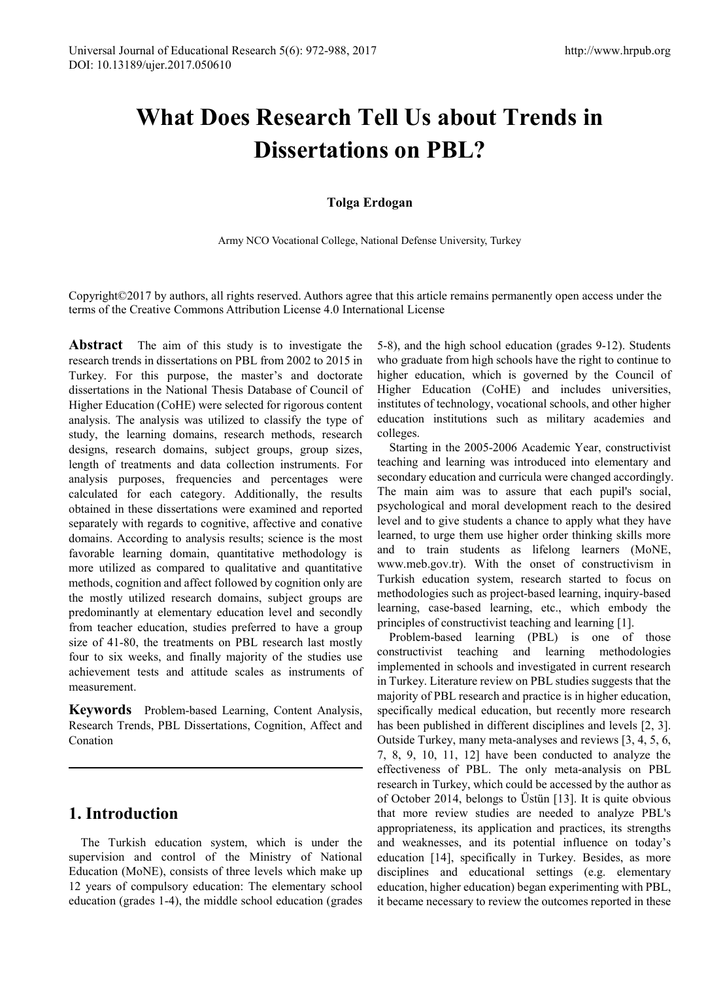# **What Does Research Tell Us about Trends in Dissertations on PBL?**

### **Tolga Erdogan**

Army NCO Vocational College, National Defense University, Turkey

Copyright©2017 by authors, all rights reserved. Authors agree that this article remains permanently open access under the terms of the Creative Commons Attribution License 4.0 International License

**Abstract** The aim of this study is to investigate the research trends in dissertations on PBL from 2002 to 2015 in Turkey. For this purpose, the master's and doctorate dissertations in the National Thesis Database of Council of Higher Education (CoHE) were selected for rigorous content analysis. The analysis was utilized to classify the type of study, the learning domains, research methods, research designs, research domains, subject groups, group sizes, length of treatments and data collection instruments. For analysis purposes, frequencies and percentages were calculated for each category. Additionally, the results obtained in these dissertations were examined and reported separately with regards to cognitive, affective and conative domains. According to analysis results; science is the most favorable learning domain, quantitative methodology is more utilized as compared to qualitative and quantitative methods, cognition and affect followed by cognition only are the mostly utilized research domains, subject groups are predominantly at elementary education level and secondly from teacher education, studies preferred to have a group size of 41-80, the treatments on PBL research last mostly four to six weeks, and finally majority of the studies use achievement tests and attitude scales as instruments of measurement.

**Keywords** Problem-based Learning, Content Analysis, Research Trends, PBL Dissertations, Cognition, Affect and Conation

## **1. Introduction**

The Turkish education system, which is under the supervision and control of the Ministry of National Education (MoNE), consists of three levels which make up 12 years of compulsory education: The elementary school education (grades 1-4), the middle school education (grades

5-8), and the high school education (grades 9-12). Students who graduate from high schools have the right to continue to higher education, which is governed by the Council of Higher Education (CoHE) and includes universities, institutes of technology, vocational schools, and other higher education institutions such as military academies and colleges.

Starting in the 2005-2006 Academic Year, constructivist teaching and learning was introduced into elementary and secondary education and curricula were changed accordingly. The main aim was to assure that each pupil's social, psychological and moral development reach to the desired level and to give students a chance to apply what they have learned, to urge them use higher order thinking skills more and to train students as lifelong learners (MoNE, www.meb.gov.tr). With the onset of constructivism in Turkish education system, research started to focus on methodologies such as project-based learning, inquiry-based learning, case-based learning, etc., which embody the principles of constructivist teaching and learning [1].

Problem-based learning (PBL) is one of those constructivist teaching and learning methodologies implemented in schools and investigated in current research in Turkey. Literature review on PBL studies suggests that the majority of PBL research and practice is in higher education, specifically medical education, but recently more research has been published in different disciplines and levels [2, 3]. Outside Turkey, many meta-analyses and reviews [3, 4, 5, 6, 7, 8, 9, 10, 11, 12] have been conducted to analyze the effectiveness of PBL. The only meta-analysis on PBL research in Turkey, which could be accessed by the author as of October 2014, belongs to Üstün [13]. It is quite obvious that more review studies are needed to analyze PBL's appropriateness, its application and practices, its strengths and weaknesses, and its potential influence on today's education [14], specifically in Turkey. Besides, as more disciplines and educational settings (e.g. elementary education, higher education) began experimenting with PBL, it became necessary to review the outcomes reported in these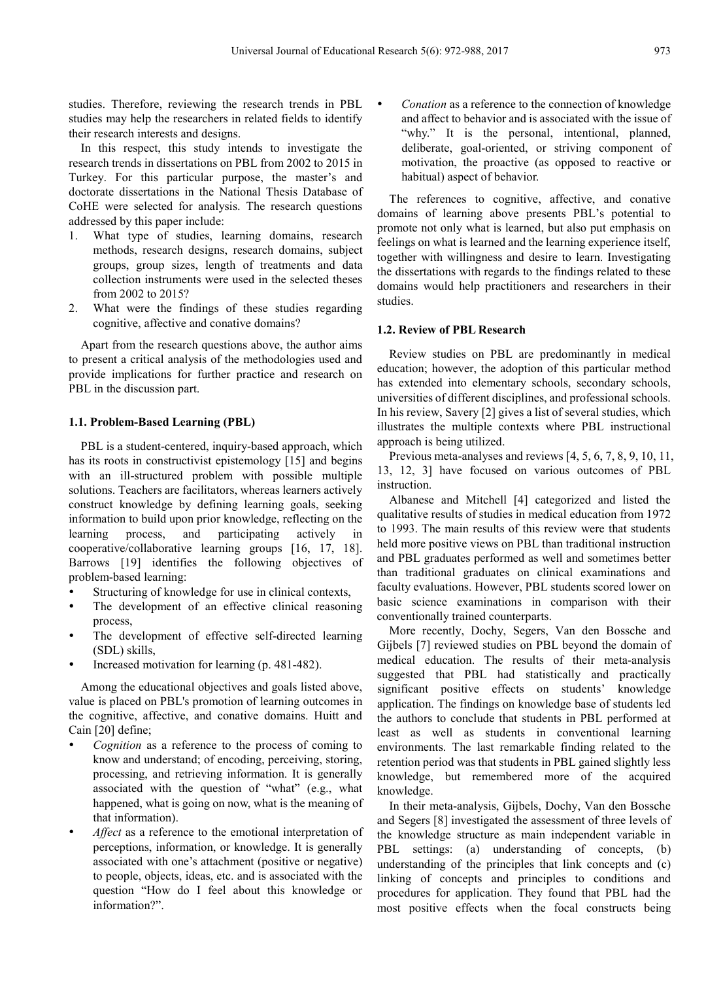studies. Therefore, reviewing the research trends in PBL studies may help the researchers in related fields to identify their research interests and designs.

In this respect, this study intends to investigate the research trends in dissertations on PBL from 2002 to 2015 in Turkey. For this particular purpose, the master's and doctorate dissertations in the National Thesis Database of CoHE were selected for analysis. The research questions addressed by this paper include:

- 1. What type of studies, learning domains, research methods, research designs, research domains, subject groups, group sizes, length of treatments and data collection instruments were used in the selected theses from 2002 to 2015?
- 2. What were the findings of these studies regarding cognitive, affective and conative domains?

Apart from the research questions above, the author aims to present a critical analysis of the methodologies used and provide implications for further practice and research on PBL in the discussion part.

#### **1.1. Problem-Based Learning (PBL)**

PBL is a student-centered, inquiry-based approach, which has its roots in constructivist epistemology [15] and begins with an ill-structured problem with possible multiple solutions. Teachers are facilitators, whereas learners actively construct knowledge by defining learning goals, seeking information to build upon prior knowledge, reflecting on the learning process, and participating actively in cooperative/collaborative learning groups [16, 17, 18]. Barrows [19] identifies the following objectives of problem-based learning:

- Structuring of knowledge for use in clinical contexts,
- The development of an effective clinical reasoning process,
- The development of effective self-directed learning (SDL) skills,
- Increased motivation for learning (p. 481-482).

Among the educational objectives and goals listed above, value is placed on PBL's promotion of learning outcomes in the cognitive, affective, and conative domains. Huitt and Cain [20] define;

- *Cognition* as a reference to the process of coming to know and understand; of encoding, perceiving, storing, processing, and retrieving information. It is generally associated with the question of "what" (e.g., what happened, what is going on now, what is the meaning of that information).
- *Affect* as a reference to the emotional interpretation of perceptions, information, or knowledge. It is generally associated with one's attachment (positive or negative) to people, objects, ideas, etc. and is associated with the question "How do I feel about this knowledge or information?".

 *Conation* as a reference to the connection of knowledge and affect to behavior and is associated with the issue of "why." It is the personal, intentional, planned, deliberate, goal-oriented, or striving component of motivation, the proactive (as opposed to reactive or habitual) aspect of behavior.

The references to cognitive, affective, and conative domains of learning above presents PBL's potential to promote not only what is learned, but also put emphasis on feelings on what is learned and the learning experience itself, together with willingness and desire to learn. Investigating the dissertations with regards to the findings related to these domains would help practitioners and researchers in their studies.

#### **1.2. Review of PBL Research**

Review studies on PBL are predominantly in medical education; however, the adoption of this particular method has extended into elementary schools, secondary schools, universities of different disciplines, and professional schools. In his review, Savery [2] gives a list of several studies, which illustrates the multiple contexts where PBL instructional approach is being utilized.

Previous meta-analyses and reviews [4, 5, 6, 7, 8, 9, 10, 11, 13, 12, 3] have focused on various outcomes of PBL instruction.

Albanese and Mitchell [4] categorized and listed the qualitative results of studies in medical education from 1972 to 1993. The main results of this review were that students held more positive views on PBL than traditional instruction and PBL graduates performed as well and sometimes better than traditional graduates on clinical examinations and faculty evaluations. However, PBL students scored lower on basic science examinations in comparison with their conventionally trained counterparts.

More recently, Dochy, Segers, Van den Bossche and Gijbels [7] reviewed studies on PBL beyond the domain of medical education. The results of their meta-analysis suggested that PBL had statistically and practically significant positive effects on students' knowledge application. The findings on knowledge base of students led the authors to conclude that students in PBL performed at least as well as students in conventional learning environments. The last remarkable finding related to the retention period was that students in PBL gained slightly less knowledge, but remembered more of the acquired knowledge.

In their meta-analysis, Gijbels, Dochy, Van den Bossche and Segers [8] investigated the assessment of three levels of the knowledge structure as main independent variable in PBL settings: (a) understanding of concepts, (b) understanding of the principles that link concepts and (c) linking of concepts and principles to conditions and procedures for application. They found that PBL had the most positive effects when the focal constructs being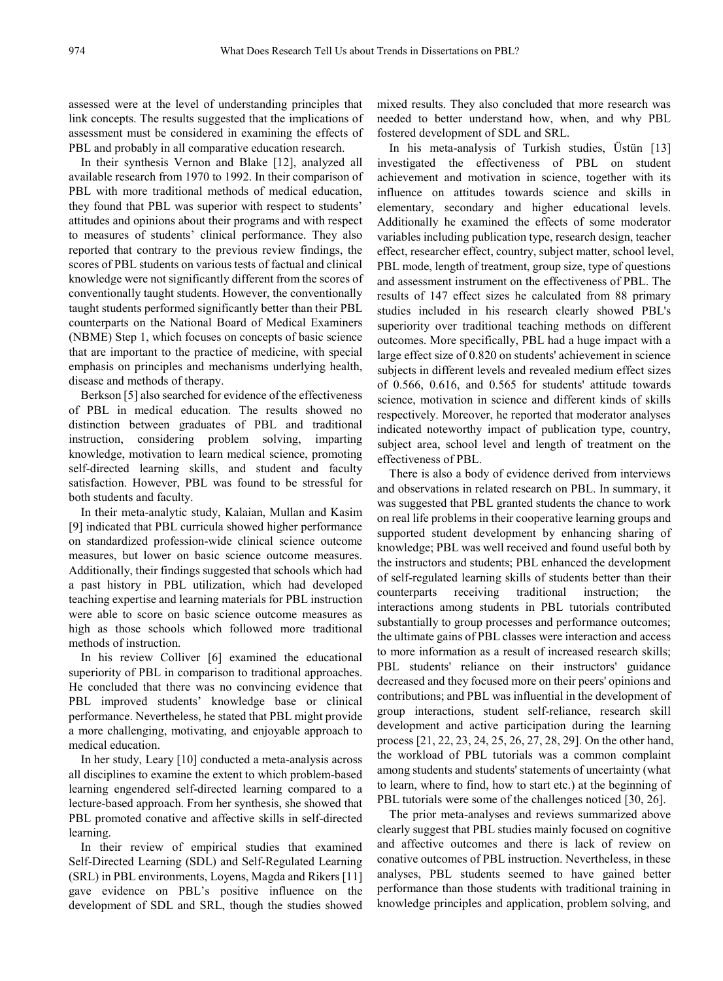assessed were at the level of understanding principles that link concepts. The results suggested that the implications of assessment must be considered in examining the effects of PBL and probably in all comparative education research.

In their synthesis Vernon and Blake [12], analyzed all available research from 1970 to 1992. In their comparison of PBL with more traditional methods of medical education, they found that PBL was superior with respect to students' attitudes and opinions about their programs and with respect to measures of students' clinical performance. They also reported that contrary to the previous review findings, the scores of PBL students on various tests of factual and clinical knowledge were not significantly different from the scores of conventionally taught students. However, the conventionally taught students performed significantly better than their PBL counterparts on the National Board of Medical Examiners (NBME) Step 1, which focuses on concepts of basic science that are important to the practice of medicine, with special emphasis on principles and mechanisms underlying health, disease and methods of therapy.

Berkson [5] also searched for evidence of the effectiveness of PBL in medical education. The results showed no distinction between graduates of PBL and traditional instruction, considering problem solving, imparting knowledge, motivation to learn medical science, promoting self-directed learning skills, and student and faculty satisfaction. However, PBL was found to be stressful for both students and faculty.

In their meta-analytic study, Kalaian, Mullan and Kasim [9] indicated that PBL curricula showed higher performance on standardized profession-wide clinical science outcome measures, but lower on basic science outcome measures. Additionally, their findings suggested that schools which had a past history in PBL utilization, which had developed teaching expertise and learning materials for PBL instruction were able to score on basic science outcome measures as high as those schools which followed more traditional methods of instruction.

In his review Colliver [6] examined the educational superiority of PBL in comparison to traditional approaches. He concluded that there was no convincing evidence that PBL improved students' knowledge base or clinical performance. Nevertheless, he stated that PBL might provide a more challenging, motivating, and enjoyable approach to medical education.

In her study, Leary [10] conducted a meta-analysis across all disciplines to examine the extent to which problem-based learning engendered self-directed learning compared to a lecture-based approach. From her synthesis, she showed that PBL promoted conative and affective skills in self-directed learning.

In their review of empirical studies that examined Self-Directed Learning (SDL) and Self-Regulated Learning (SRL) in PBL environments, Loyens, Magda and Rikers [11] gave evidence on PBL's positive influence on the development of SDL and SRL, though the studies showed

mixed results. They also concluded that more research was needed to better understand how, when, and why PBL fostered development of SDL and SRL.

In his meta-analysis of Turkish studies, Üstün [13] investigated the effectiveness of PBL on student achievement and motivation in science, together with its influence on attitudes towards science and skills in elementary, secondary and higher educational levels. Additionally he examined the effects of some moderator variables including publication type, research design, teacher effect, researcher effect, country, subject matter, school level, PBL mode, length of treatment, group size, type of questions and assessment instrument on the effectiveness of PBL. The results of 147 effect sizes he calculated from 88 primary studies included in his research clearly showed PBL's superiority over traditional teaching methods on different outcomes. More specifically, PBL had a huge impact with a large effect size of 0.820 on students' achievement in science subjects in different levels and revealed medium effect sizes of 0.566, 0.616, and 0.565 for students' attitude towards science, motivation in science and different kinds of skills respectively. Moreover, he reported that moderator analyses indicated noteworthy impact of publication type, country, subject area, school level and length of treatment on the effectiveness of PBL.

There is also a body of evidence derived from interviews and observations in related research on PBL. In summary, it was suggested that PBL granted students the chance to work on real life problems in their cooperative learning groups and supported student development by enhancing sharing of knowledge; PBL was well received and found useful both by the instructors and students; PBL enhanced the development of self-regulated learning skills of students better than their counterparts receiving traditional instruction; the interactions among students in PBL tutorials contributed substantially to group processes and performance outcomes; the ultimate gains of PBL classes were interaction and access to more information as a result of increased research skills; PBL students' reliance on their instructors' guidance decreased and they focused more on their peers' opinions and contributions; and PBL was influential in the development of group interactions, student self-reliance, research skill development and active participation during the learning process [21, 22, 23, 24, 25, 26, 27, 28, 29]. On the other hand, the workload of PBL tutorials was a common complaint among students and students' statements of uncertainty (what to learn, where to find, how to start etc.) at the beginning of PBL tutorials were some of the challenges noticed [30, 26].

The prior meta-analyses and reviews summarized above clearly suggest that PBL studies mainly focused on cognitive and affective outcomes and there is lack of review on conative outcomes of PBL instruction. Nevertheless, in these analyses, PBL students seemed to have gained better performance than those students with traditional training in knowledge principles and application, problem solving, and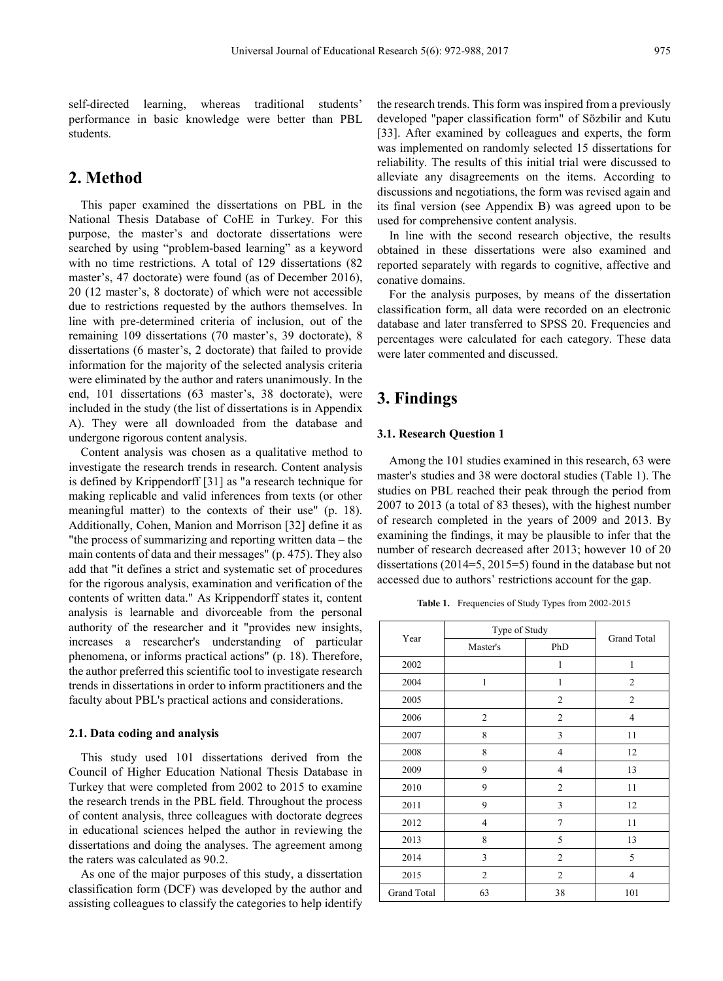self-directed learning, whereas traditional students' performance in basic knowledge were better than PBL students.

## **2. Method**

This paper examined the dissertations on PBL in the National Thesis Database of CoHE in Turkey. For this purpose, the master's and doctorate dissertations were searched by using "problem-based learning" as a keyword with no time restrictions. A total of 129 dissertations (82 master's, 47 doctorate) were found (as of December 2016), 20 (12 master's, 8 doctorate) of which were not accessible due to restrictions requested by the authors themselves. In line with pre-determined criteria of inclusion, out of the remaining 109 dissertations (70 master's, 39 doctorate), 8 dissertations (6 master's, 2 doctorate) that failed to provide information for the majority of the selected analysis criteria were eliminated by the author and raters unanimously. In the end, 101 dissertations (63 master's, 38 doctorate), were included in the study (the list of dissertations is in Appendix A). They were all downloaded from the database and undergone rigorous content analysis.

Content analysis was chosen as a qualitative method to investigate the research trends in research. Content analysis is defined by Krippendorff [31] as "a research technique for making replicable and valid inferences from texts (or other meaningful matter) to the contexts of their use" (p. 18). Additionally, Cohen, Manion and Morrison [32] define it as "the process of summarizing and reporting written data – the main contents of data and their messages" (p. 475). They also add that "it defines a strict and systematic set of procedures for the rigorous analysis, examination and verification of the contents of written data." As Krippendorff states it, content analysis is learnable and divorceable from the personal authority of the researcher and it "provides new insights, increases a researcher's understanding of particular phenomena, or informs practical actions" (p. 18). Therefore, the author preferred this scientific tool to investigate research trends in dissertations in order to inform practitioners and the faculty about PBL's practical actions and considerations.

#### **2.1. Data coding and analysis**

This study used 101 dissertations derived from the Council of Higher Education National Thesis Database in Turkey that were completed from 2002 to 2015 to examine the research trends in the PBL field. Throughout the process of content analysis, three colleagues with doctorate degrees in educational sciences helped the author in reviewing the dissertations and doing the analyses. The agreement among the raters was calculated as 90.2.

As one of the major purposes of this study, a dissertation classification form (DCF) was developed by the author and assisting colleagues to classify the categories to help identify

the research trends. This form was inspired from a previously developed "paper classification form" of Sözbilir and Kutu [33]. After examined by colleagues and experts, the form was implemented on randomly selected 15 dissertations for reliability. The results of this initial trial were discussed to alleviate any disagreements on the items. According to discussions and negotiations, the form was revised again and its final version (see Appendix B) was agreed upon to be used for comprehensive content analysis.

In line with the second research objective, the results obtained in these dissertations were also examined and reported separately with regards to cognitive, affective and conative domains.

For the analysis purposes, by means of the dissertation classification form, all data were recorded on an electronic database and later transferred to SPSS 20. Frequencies and percentages were calculated for each category. These data were later commented and discussed.

## **3. Findings**

#### **3.1. Research Question 1**

Among the 101 studies examined in this research, 63 were master's studies and 38 were doctoral studies (Table 1). The studies on PBL reached their peak through the period from 2007 to 2013 (a total of 83 theses), with the highest number of research completed in the years of 2009 and 2013. By examining the findings, it may be plausible to infer that the number of research decreased after 2013; however 10 of 20 dissertations (2014=5, 2015=5) found in the database but not accessed due to authors' restrictions account for the gap.

**Table 1.** Frequencies of Study Types from 2002-2015

|             | Type of Study |                |                |
|-------------|---------------|----------------|----------------|
| Year        | Master's      | PhD            | Grand Total    |
| 2002        |               | 1              | 1              |
| 2004        | 1             | 1              | $\overline{2}$ |
| 2005        |               | $\overline{2}$ | $\overline{c}$ |
| 2006        | 2             | $\overline{c}$ | 4              |
| 2007        | 8             | 3              | 11             |
| 2008        | 8             | $\overline{4}$ | 12             |
| 2009        | 9             | $\overline{4}$ | 13             |
| 2010        | 9             | $\overline{2}$ | 11             |
| 2011        | 9             | 3              | 12             |
| 2012        | 4             | $\overline{7}$ | 11             |
| 2013        | 8             | 5              | 13             |
| 2014        | 3             | $\overline{2}$ | 5              |
| 2015        | 2             | $\overline{c}$ | 4              |
| Grand Total | 63            | 38             | 101            |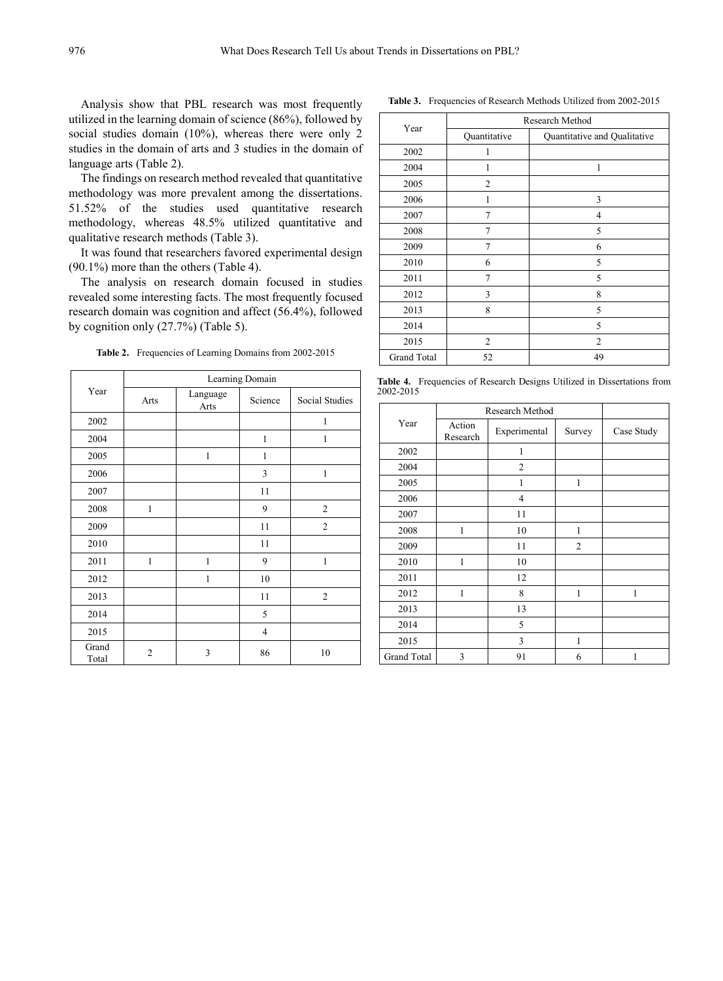Analysis show that PBL research was most frequently utilized in the learning domain of science (86%), followed by social studies domain (10%), whereas there were only 2 studies in the domain of arts and 3 studies in the domain of language arts (Table 2).

The findings on research method revealed that quantitative methodology was more prevalent among the dissertations. 51.52% of the studies used quantitative research methodology, whereas 48.5% utilized quantitative and qualitative research methods (Table 3).

It was found that researchers favored experimental design (90.1%) more than the others (Table 4).

The analysis on research domain focused in studies revealed some interesting facts. The most frequently focused research domain was cognition and affect (56.4%), followed by cognition only (27.7%) (Table 5).

**Table 2.** Frequencies of Learning Domains from 2002-2015

|                | Learning Domain |                  |         |                |  |  |  |  |  |
|----------------|-----------------|------------------|---------|----------------|--|--|--|--|--|
| Year           | Arts            | Language<br>Arts | Science | Social Studies |  |  |  |  |  |
| 2002           |                 |                  |         | 1              |  |  |  |  |  |
| 2004           |                 |                  | 1       | 1              |  |  |  |  |  |
| 2005           |                 | $\mathbf{1}$     | 1       |                |  |  |  |  |  |
| 2006           |                 |                  | 3       | 1              |  |  |  |  |  |
| 2007           |                 |                  | 11      |                |  |  |  |  |  |
| 2008           | 1               |                  | 9       | $\overline{c}$ |  |  |  |  |  |
| 2009           |                 |                  | 11      | $\overline{2}$ |  |  |  |  |  |
| 2010           |                 |                  | 11      |                |  |  |  |  |  |
| 2011           | $\mathbf{1}$    | 1                | 9       | 1              |  |  |  |  |  |
| 2012           |                 | 1                | 10      |                |  |  |  |  |  |
| 2013           |                 |                  | 11      | $\overline{2}$ |  |  |  |  |  |
| 2014           |                 |                  | 5       |                |  |  |  |  |  |
| 2015           |                 |                  | 4       |                |  |  |  |  |  |
| Grand<br>Total | $\overline{2}$  | 3                | 86      | 10             |  |  |  |  |  |

Year Research Method Quantitative Quantitative and Qualitative 2002 1 2004 1 1 2005 2 2006 1 3 2007 7 4 2008 7 5 2009 7 6 2010 6 5 2011 7 5 2012 3 8 2013 8 5 2014 5 2015 2 2 Grand Total 52 49

**Table 4.** Frequencies of Research Designs Utilized in Dissertations from 2002-2015

|             | Research Method    |                |        |            |
|-------------|--------------------|----------------|--------|------------|
| Year        | Action<br>Research | Experimental   | Survey | Case Study |
| 2002        |                    | 1              |        |            |
| 2004        |                    | $\overline{c}$ |        |            |
| 2005        |                    | 1              | 1      |            |
| 2006        |                    | 4              |        |            |
| 2007        |                    | 11             |        |            |
| 2008        | 1                  | 10             | 1      |            |
| 2009        |                    | 11             | 2      |            |
| 2010        | 1                  | 10             |        |            |
| 2011        |                    | 12             |        |            |
| 2012        | 1                  | 8              | 1      | 1          |
| 2013        |                    | 13             |        |            |
| 2014        |                    | 5              |        |            |
| 2015        |                    | 3              | 1      |            |
| Grand Total | 3                  | 91             | 6      | 1          |

**Table 3.** Frequencies of Research Methods Utilized from 2002-2015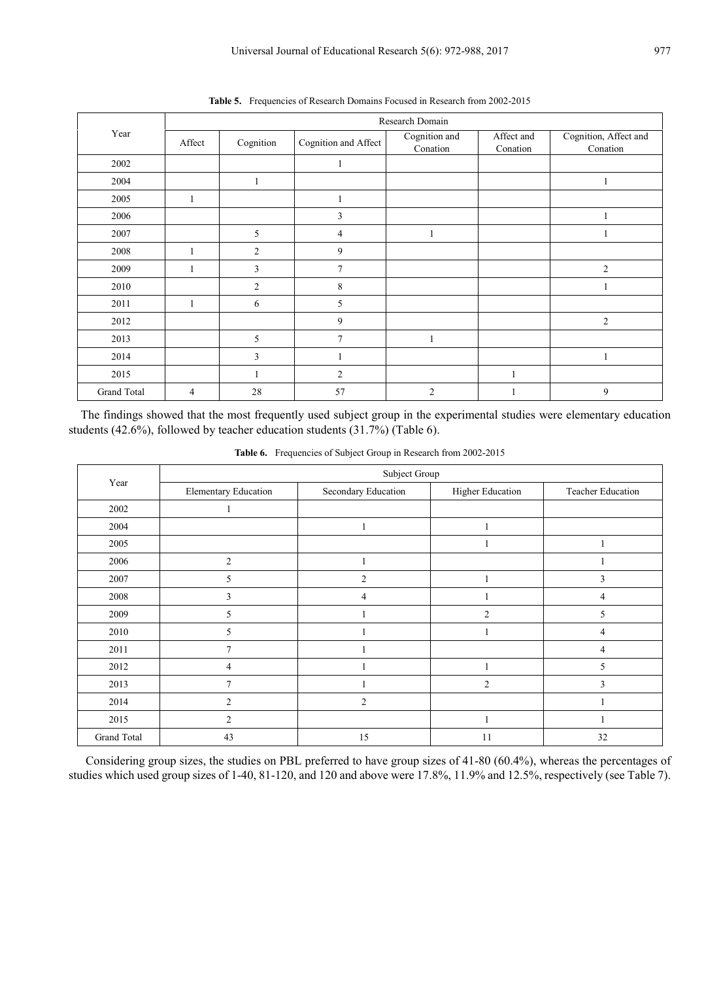|             | Research Domain |                |                      |                           |                        |                                   |  |  |  |  |  |
|-------------|-----------------|----------------|----------------------|---------------------------|------------------------|-----------------------------------|--|--|--|--|--|
| Year        | Affect          | Cognition      | Cognition and Affect | Cognition and<br>Conation | Affect and<br>Conation | Cognition, Affect and<br>Conation |  |  |  |  |  |
| 2002        |                 |                | 1                    |                           |                        |                                   |  |  |  |  |  |
| 2004        |                 |                |                      |                           |                        | 1                                 |  |  |  |  |  |
| 2005        | 1               |                |                      |                           |                        |                                   |  |  |  |  |  |
| 2006        |                 |                | 3                    |                           |                        |                                   |  |  |  |  |  |
| 2007        |                 | 5              | 4                    |                           |                        | 1                                 |  |  |  |  |  |
| 2008        |                 | $\overline{c}$ | 9                    |                           |                        |                                   |  |  |  |  |  |
| 2009        | 1               | 3              | $\tau$               |                           |                        | $\overline{2}$                    |  |  |  |  |  |
| 2010        |                 | $\overline{2}$ | 8                    |                           |                        | 1                                 |  |  |  |  |  |
| 2011        | 1               | 6              | 5                    |                           |                        |                                   |  |  |  |  |  |
| 2012        |                 |                | 9                    |                           |                        | $\overline{2}$                    |  |  |  |  |  |
| 2013        |                 | 5              | $\tau$               |                           |                        |                                   |  |  |  |  |  |
| 2014        |                 | 3              |                      |                           |                        | 1                                 |  |  |  |  |  |
| 2015        |                 |                | 2                    |                           |                        |                                   |  |  |  |  |  |
| Grand Total | $\overline{4}$  | 28             | 57                   | $\overline{2}$            |                        | 9                                 |  |  |  |  |  |

**Table 5.** Frequencies of Research Domains Focused in Research from 2002-2015

The findings showed that the most frequently used subject group in the experimental studies were elementary education students (42.6%), followed by teacher education students (31.7%) (Table 6).

|             | Subject Group               |                     |                         |                   |  |  |  |  |  |  |
|-------------|-----------------------------|---------------------|-------------------------|-------------------|--|--|--|--|--|--|
| Year        | <b>Elementary Education</b> | Secondary Education | <b>Higher Education</b> | Teacher Education |  |  |  |  |  |  |
| 2002        |                             |                     |                         |                   |  |  |  |  |  |  |
| 2004        |                             |                     | п                       |                   |  |  |  |  |  |  |
| 2005        |                             |                     |                         |                   |  |  |  |  |  |  |
| 2006        | $\overline{2}$              |                     |                         |                   |  |  |  |  |  |  |
| 2007        | 5                           | $\overline{c}$      |                         | 3                 |  |  |  |  |  |  |
| 2008        | 3                           | $\overline{4}$      |                         | 4                 |  |  |  |  |  |  |
| 2009        | 5                           |                     | $\overline{2}$          | 5                 |  |  |  |  |  |  |
| 2010        | 5                           |                     |                         | 4                 |  |  |  |  |  |  |
| 2011        | 7                           |                     |                         | 4                 |  |  |  |  |  |  |
| 2012        | $\overline{4}$              |                     |                         | 5                 |  |  |  |  |  |  |
| 2013        | $\overline{7}$              |                     | $\overline{2}$          | 3                 |  |  |  |  |  |  |
| 2014        | $\overline{2}$              | $\overline{2}$      |                         |                   |  |  |  |  |  |  |
| 2015        | $\overline{2}$              |                     |                         |                   |  |  |  |  |  |  |
| Grand Total | 43                          | 15                  | 11                      | 32                |  |  |  |  |  |  |

**Table 6.** Frequencies of Subject Group in Research from 2002-2015

Considering group sizes, the studies on PBL preferred to have group sizes of 41-80 (60.4%), whereas the percentages of studies which used group sizes of 1-40, 81-120, and 120 and above were 17.8%, 11.9% and 12.5%, respectively (see Table 7).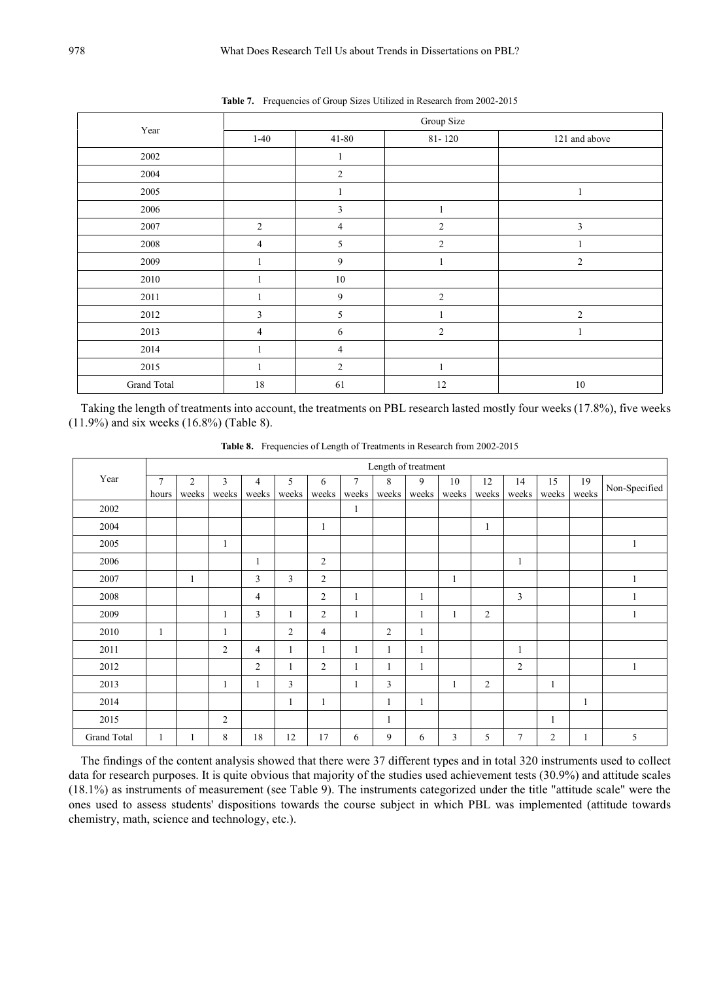|             | Group Size     |                |                |                |  |  |  |  |  |  |
|-------------|----------------|----------------|----------------|----------------|--|--|--|--|--|--|
| Year        | $1-40$         | $41 - 80$      | $81 - 120$     | 121 and above  |  |  |  |  |  |  |
| 2002        |                |                |                |                |  |  |  |  |  |  |
| 2004        |                | $\sqrt{2}$     |                |                |  |  |  |  |  |  |
| 2005        |                |                |                | -1             |  |  |  |  |  |  |
| 2006        |                | $\mathbf{3}$   | $\mathbf{1}$   |                |  |  |  |  |  |  |
| 2007        | $\overline{2}$ | $\overline{4}$ | $\overline{2}$ | 3              |  |  |  |  |  |  |
| 2008        | $\overline{4}$ | 5              | $\mathfrak{2}$ |                |  |  |  |  |  |  |
| 2009        |                | 9              |                | $\overline{2}$ |  |  |  |  |  |  |
| 2010        |                | $10\,$         |                |                |  |  |  |  |  |  |
| 2011        |                | 9              | $\mathfrak{2}$ |                |  |  |  |  |  |  |
| 2012        | 3              | 5              |                | $\overline{2}$ |  |  |  |  |  |  |
| 2013        | $\overline{4}$ | 6              | $\mathfrak{2}$ |                |  |  |  |  |  |  |
| 2014        |                | $\overline{4}$ |                |                |  |  |  |  |  |  |
| 2015        |                | 2              |                |                |  |  |  |  |  |  |
| Grand Total | 18             | 61             | 12             | $10\,$         |  |  |  |  |  |  |

**Table 7.** Frequencies of Group Sizes Utilized in Research from 2002-2015

Taking the length of treatments into account, the treatments on PBL research lasted mostly four weeks (17.8%), five weeks (11.9%) and six weeks (16.8%) (Table 8).

|             | Length of treatment |                |                |                |                |                |        |       |       |       |                |                |                |              |               |
|-------------|---------------------|----------------|----------------|----------------|----------------|----------------|--------|-------|-------|-------|----------------|----------------|----------------|--------------|---------------|
| Year        | $\overline{7}$      | $\overline{2}$ | 3              | $\overline{4}$ | 5              | 6              | $\tau$ | 8     | 9     | 10    | 12             | 14             | 15             | 19           | Non-Specified |
|             | hours               | weeks          | weeks          | weeks          | weeks          | weeks          | weeks  | weeks | weeks | weeks | weeks          | weeks          | weeks          | weeks        |               |
| 2002        |                     |                |                |                |                |                | 1      |       |       |       |                |                |                |              |               |
| 2004        |                     |                |                |                |                | 1              |        |       |       |       | 1              |                |                |              |               |
| 2005        |                     |                |                |                |                |                |        |       |       |       |                |                |                |              |               |
| 2006        |                     |                |                |                |                | $\overline{2}$ |        |       |       |       |                | $\mathbf{1}$   |                |              |               |
| 2007        |                     | $\mathbf{1}$   |                | 3              | 3              | $\overline{2}$ |        |       |       | 1     |                |                |                |              |               |
| 2008        |                     |                |                | $\overline{4}$ |                | $\overline{2}$ | 1      |       |       |       |                | 3              |                |              |               |
| 2009        |                     |                | -1             | 3              | 1              | $\overline{2}$ | 1      |       | 1     | 1     | $\overline{c}$ |                |                |              |               |
| 2010        | 1                   |                |                |                | $\overline{2}$ | $\overline{4}$ |        | 2     |       |       |                |                |                |              |               |
| 2011        |                     |                | $\overline{c}$ | $\overline{4}$ | 1              | $\mathbf{1}$   | 1      | 1     | 1     |       |                | $\mathbf{1}$   |                |              |               |
| 2012        |                     |                |                | $\overline{2}$ |                | $\overline{2}$ | 1      | 1     | 1     |       |                | $\overline{2}$ |                |              |               |
| 2013        |                     |                |                |                | 3              |                | 1      | 3     |       | 1     | $\overline{c}$ |                | 1              |              |               |
| 2014        |                     |                |                |                | 1              | 1              |        | 1     | 1     |       |                |                |                | $\mathbf{1}$ |               |
| 2015        |                     |                | 2              |                |                |                |        | 1     |       |       |                |                | 1              |              |               |
| Grand Total | 1                   | 1              | 8              | 18             | 12             | 17             | 6      | 9     | 6     | 3     | 5              | $\overline{7}$ | $\overline{c}$ |              | 5             |

**Table 8.** Frequencies of Length of Treatments in Research from 2002-2015

The findings of the content analysis showed that there were 37 different types and in total 320 instruments used to collect data for research purposes. It is quite obvious that majority of the studies used achievement tests (30.9%) and attitude scales (18.1%) as instruments of measurement (see Table 9). The instruments categorized under the title "attitude scale" were the ones used to assess students' dispositions towards the course subject in which PBL was implemented (attitude towards chemistry, math, science and technology, etc.).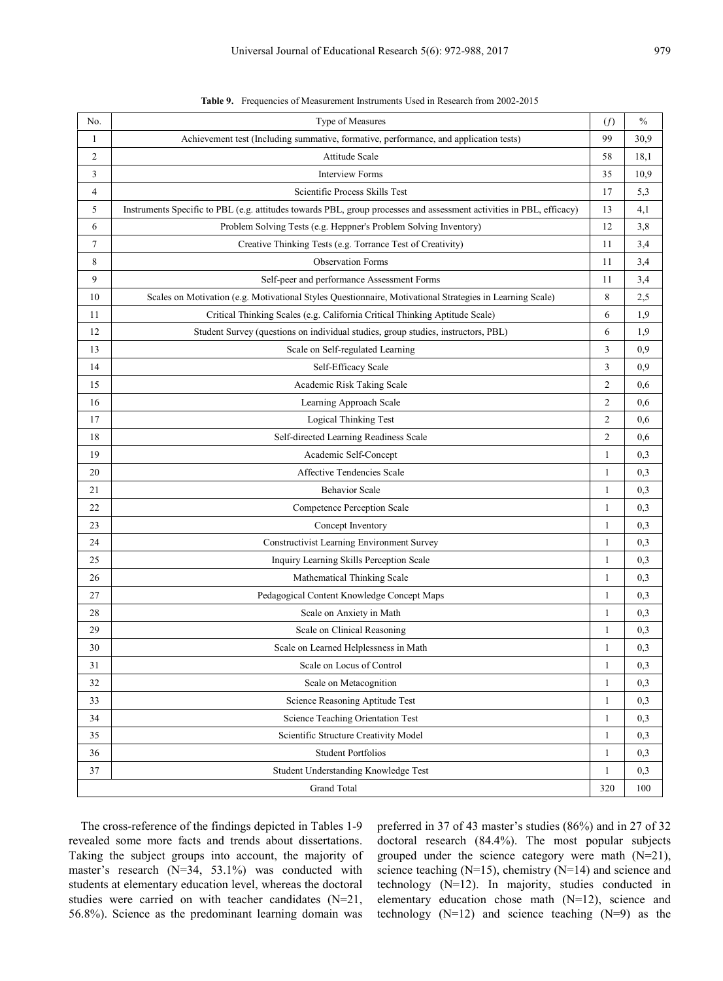| No. | Type of Measures                                                                                                     | (f) | $\frac{0}{0}$ |
|-----|----------------------------------------------------------------------------------------------------------------------|-----|---------------|
| 1   | Achievement test (Including summative, formative, performance, and application tests)                                | 99  | 30,9          |
| 2   | Attitude Scale                                                                                                       | 58  | 18,1          |
| 3   | <b>Interview Forms</b>                                                                                               | 35  | 10,9          |
| 4   | Scientific Process Skills Test                                                                                       | 17  | 5,3           |
| 5   | Instruments Specific to PBL (e.g. attitudes towards PBL, group processes and assessment activities in PBL, efficacy) | 13  | 4,1           |
| 6   | Problem Solving Tests (e.g. Heppner's Problem Solving Inventory)                                                     | 12  | 3,8           |
| 7   | Creative Thinking Tests (e.g. Torrance Test of Creativity)                                                           | 11  | 3,4           |
| 8   | <b>Observation Forms</b>                                                                                             | 11  | 3,4           |
| 9   | Self-peer and performance Assessment Forms                                                                           | 11  | 3,4           |
| 10  | Scales on Motivation (e.g. Motivational Styles Questionnaire, Motivational Strategies in Learning Scale)             | 8   | 2,5           |
| 11  | Critical Thinking Scales (e.g. California Critical Thinking Aptitude Scale)                                          | 6   | 1,9           |
| 12  | Student Survey (questions on individual studies, group studies, instructors, PBL)                                    | 6   | 1,9           |
| 13  | Scale on Self-regulated Learning                                                                                     | 3   | 0,9           |
| 14  | Self-Efficacy Scale                                                                                                  | 3   | 0,9           |
| 15  | Academic Risk Taking Scale                                                                                           | 2   | 0,6           |
| 16  | Learning Approach Scale                                                                                              | 2   | 0,6           |
| 17  | Logical Thinking Test                                                                                                | 2   | 0,6           |
| 18  | Self-directed Learning Readiness Scale                                                                               | 2   | 0,6           |
| 19  | Academic Self-Concept                                                                                                | 1   | 0,3           |
| 20  | Affective Tendencies Scale                                                                                           | 1   | 0,3           |
| 21  | <b>Behavior Scale</b>                                                                                                | 1   | 0,3           |
| 22  | Competence Perception Scale                                                                                          | 1   | 0,3           |
| 23  | Concept Inventory                                                                                                    | 1   | 0,3           |
| 24  | Constructivist Learning Environment Survey                                                                           | 1   | 0,3           |
| 25  | Inquiry Learning Skills Perception Scale                                                                             | 1   | 0,3           |
| 26  | Mathematical Thinking Scale                                                                                          | 1   | 0,3           |
| 27  | Pedagogical Content Knowledge Concept Maps                                                                           | 1   | 0,3           |
| 28  | Scale on Anxiety in Math                                                                                             | 1   | 0,3           |
| 29  | Scale on Clinical Reasoning                                                                                          | 1   | 0,3           |
| 30  | Scale on Learned Helplessness in Math                                                                                | 1   | 0,3           |
| 31  | Scale on Locus of Control                                                                                            | 1   | 0,3           |
| 32  | Scale on Metacognition                                                                                               | 1   | 0,3           |
| 33  | Science Reasoning Aptitude Test                                                                                      | 1   | 0,3           |
| 34  | Science Teaching Orientation Test                                                                                    | 1   | 0,3           |
| 35  | Scientific Structure Creativity Model                                                                                | 1   | 0,3           |
| 36  | <b>Student Portfolios</b>                                                                                            | 1   | 0,3           |
| 37  | Student Understanding Knowledge Test                                                                                 | 1   | 0,3           |
|     | <b>Grand Total</b>                                                                                                   | 320 | 100           |
|     |                                                                                                                      |     |               |

**Table 9.** Frequencies of Measurement Instruments Used in Research from 2002-2015

The cross-reference of the findings depicted in Tables 1-9 revealed some more facts and trends about dissertations. Taking the subject groups into account, the majority of master's research (N=34, 53.1%) was conducted with students at elementary education level, whereas the doctoral studies were carried on with teacher candidates (N=21, 56.8%). Science as the predominant learning domain was preferred in 37 of 43 master's studies (86%) and in 27 of 32 doctoral research (84.4%). The most popular subjects grouped under the science category were math (N=21), science teaching (N=15), chemistry (N=14) and science and technology (N=12). In majority, studies conducted in elementary education chose math (N=12), science and technology  $(N=12)$  and science teaching  $(N=9)$  as the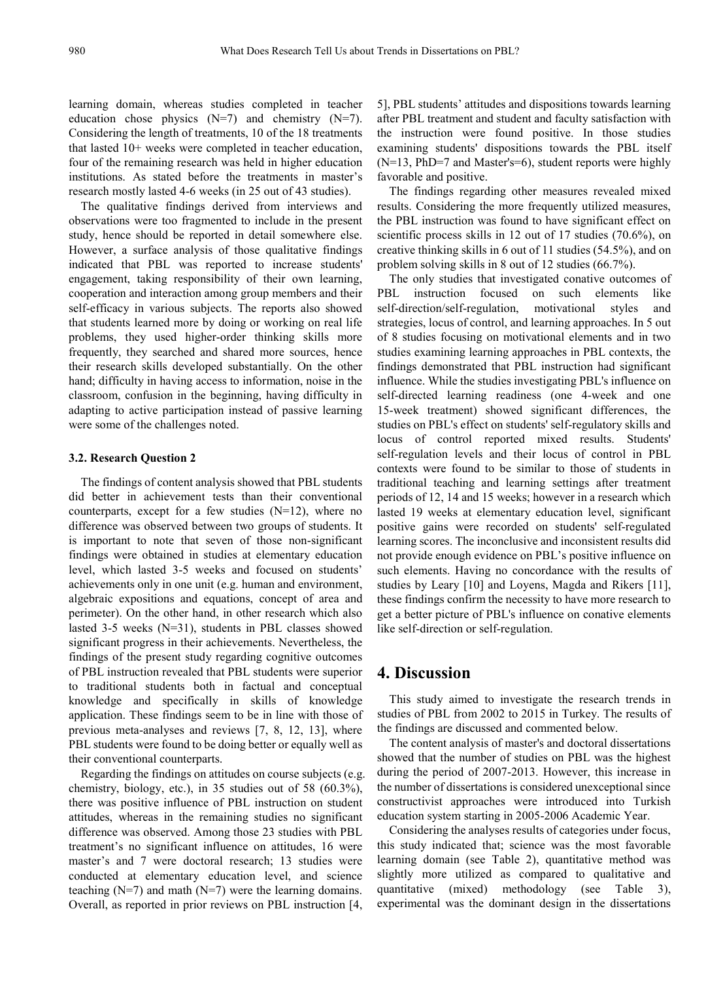learning domain, whereas studies completed in teacher education chose physics  $(N=7)$  and chemistry  $(N=7)$ . Considering the length of treatments, 10 of the 18 treatments that lasted 10+ weeks were completed in teacher education, four of the remaining research was held in higher education institutions. As stated before the treatments in master's research mostly lasted 4-6 weeks (in 25 out of 43 studies).

The qualitative findings derived from interviews and observations were too fragmented to include in the present study, hence should be reported in detail somewhere else. However, a surface analysis of those qualitative findings indicated that PBL was reported to increase students' engagement, taking responsibility of their own learning, cooperation and interaction among group members and their self-efficacy in various subjects. The reports also showed that students learned more by doing or working on real life problems, they used higher-order thinking skills more frequently, they searched and shared more sources, hence their research skills developed substantially. On the other hand; difficulty in having access to information, noise in the classroom, confusion in the beginning, having difficulty in adapting to active participation instead of passive learning were some of the challenges noted.

#### **3.2. Research Question 2**

The findings of content analysis showed that PBL students did better in achievement tests than their conventional counterparts, except for a few studies  $(N=12)$ , where no difference was observed between two groups of students. It is important to note that seven of those non-significant findings were obtained in studies at elementary education level, which lasted 3-5 weeks and focused on students' achievements only in one unit (e.g. human and environment, algebraic expositions and equations, concept of area and perimeter). On the other hand, in other research which also lasted 3-5 weeks (N=31), students in PBL classes showed significant progress in their achievements. Nevertheless, the findings of the present study regarding cognitive outcomes of PBL instruction revealed that PBL students were superior to traditional students both in factual and conceptual knowledge and specifically in skills of knowledge application. These findings seem to be in line with those of previous meta-analyses and reviews [7, 8, 12, 13], where PBL students were found to be doing better or equally well as their conventional counterparts.

Regarding the findings on attitudes on course subjects (e.g. chemistry, biology, etc.), in 35 studies out of 58 (60.3%), there was positive influence of PBL instruction on student attitudes, whereas in the remaining studies no significant difference was observed. Among those 23 studies with PBL treatment's no significant influence on attitudes, 16 were master's and 7 were doctoral research; 13 studies were conducted at elementary education level, and science teaching  $(N=7)$  and math  $(N=7)$  were the learning domains. Overall, as reported in prior reviews on PBL instruction [4,

5], PBL students' attitudes and dispositions towards learning after PBL treatment and student and faculty satisfaction with the instruction were found positive. In those studies examining students' dispositions towards the PBL itself (N=13, PhD=7 and Master's=6), student reports were highly favorable and positive.

The findings regarding other measures revealed mixed results. Considering the more frequently utilized measures, the PBL instruction was found to have significant effect on scientific process skills in 12 out of 17 studies (70.6%), on creative thinking skills in 6 out of 11 studies (54.5%), and on problem solving skills in 8 out of 12 studies (66.7%).

The only studies that investigated conative outcomes of PBL instruction focused on such elements like self-direction/self-regulation, motivational styles and strategies, locus of control, and learning approaches. In 5 out of 8 studies focusing on motivational elements and in two studies examining learning approaches in PBL contexts, the findings demonstrated that PBL instruction had significant influence. While the studies investigating PBL's influence on self-directed learning readiness (one 4-week and one 15-week treatment) showed significant differences, the studies on PBL's effect on students' self-regulatory skills and locus of control reported mixed results. Students' self-regulation levels and their locus of control in PBL contexts were found to be similar to those of students in traditional teaching and learning settings after treatment periods of 12, 14 and 15 weeks; however in a research which lasted 19 weeks at elementary education level, significant positive gains were recorded on students' self-regulated learning scores. The inconclusive and inconsistent results did not provide enough evidence on PBL's positive influence on such elements. Having no concordance with the results of studies by Leary [10] and Loyens, Magda and Rikers [11], these findings confirm the necessity to have more research to get a better picture of PBL's influence on conative elements like self-direction or self-regulation.

## **4. Discussion**

This study aimed to investigate the research trends in studies of PBL from 2002 to 2015 in Turkey. The results of the findings are discussed and commented below.

The content analysis of master's and doctoral dissertations showed that the number of studies on PBL was the highest during the period of 2007-2013. However, this increase in the number of dissertations is considered unexceptional since constructivist approaches were introduced into Turkish education system starting in 2005-2006 Academic Year.

Considering the analyses results of categories under focus, this study indicated that; science was the most favorable learning domain (see Table 2), quantitative method was slightly more utilized as compared to qualitative and quantitative (mixed) methodology (see Table 3), experimental was the dominant design in the dissertations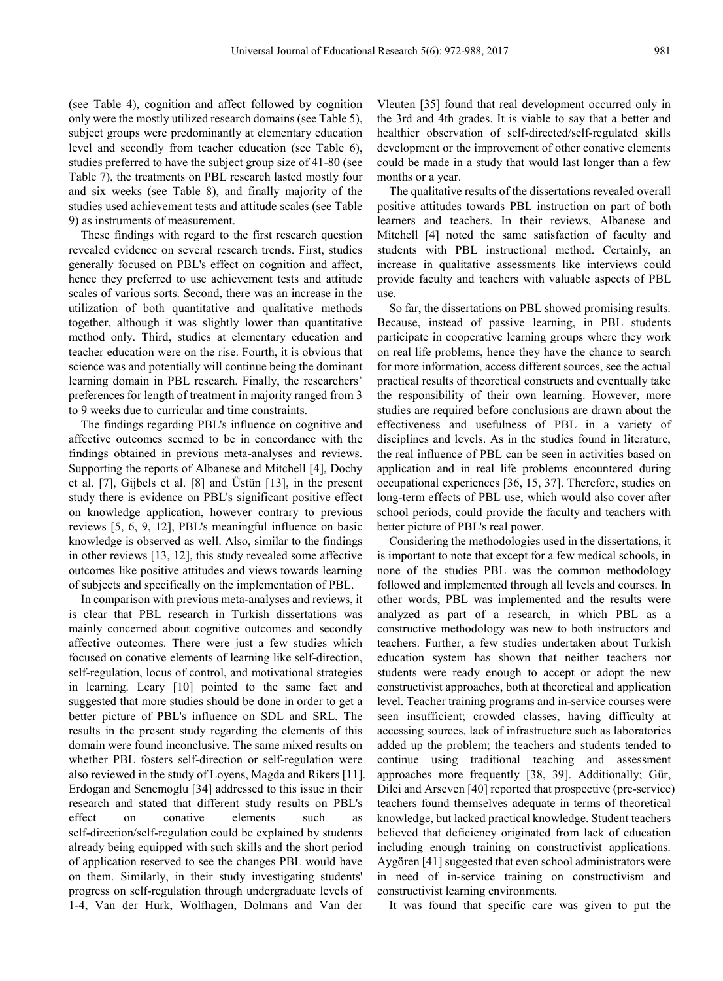(see Table 4), cognition and affect followed by cognition only were the mostly utilized research domains (see Table 5), subject groups were predominantly at elementary education level and secondly from teacher education (see Table 6), studies preferred to have the subject group size of 41-80 (see Table 7), the treatments on PBL research lasted mostly four and six weeks (see Table 8), and finally majority of the studies used achievement tests and attitude scales (see Table 9) as instruments of measurement.

These findings with regard to the first research question revealed evidence on several research trends. First, studies generally focused on PBL's effect on cognition and affect, hence they preferred to use achievement tests and attitude scales of various sorts. Second, there was an increase in the utilization of both quantitative and qualitative methods together, although it was slightly lower than quantitative method only. Third, studies at elementary education and teacher education were on the rise. Fourth, it is obvious that science was and potentially will continue being the dominant learning domain in PBL research. Finally, the researchers' preferences for length of treatment in majority ranged from 3 to 9 weeks due to curricular and time constraints.

The findings regarding PBL's influence on cognitive and affective outcomes seemed to be in concordance with the findings obtained in previous meta-analyses and reviews. Supporting the reports of Albanese and Mitchell [4], Dochy et al. [7], Gijbels et al. [8] and Üstün [13], in the present study there is evidence on PBL's significant positive effect on knowledge application, however contrary to previous reviews [5, 6, 9, 12], PBL's meaningful influence on basic knowledge is observed as well. Also, similar to the findings in other reviews [13, 12], this study revealed some affective outcomes like positive attitudes and views towards learning of subjects and specifically on the implementation of PBL.

In comparison with previous meta-analyses and reviews, it is clear that PBL research in Turkish dissertations was mainly concerned about cognitive outcomes and secondly affective outcomes. There were just a few studies which focused on conative elements of learning like self-direction, self-regulation, locus of control, and motivational strategies in learning. Leary [10] pointed to the same fact and suggested that more studies should be done in order to get a better picture of PBL's influence on SDL and SRL. The results in the present study regarding the elements of this domain were found inconclusive. The same mixed results on whether PBL fosters self-direction or self-regulation were also reviewed in the study of Loyens, Magda and Rikers [11]. Erdogan and Senemoglu [34] addressed to this issue in their research and stated that different study results on PBL's effect on conative elements such as self-direction/self-regulation could be explained by students already being equipped with such skills and the short period of application reserved to see the changes PBL would have on them. Similarly, in their study investigating students' progress on self-regulation through undergraduate levels of 1-4, Van der Hurk, Wolfhagen, Dolmans and Van der

Vleuten [35] found that real development occurred only in the 3rd and 4th grades. It is viable to say that a better and healthier observation of self-directed/self-regulated skills development or the improvement of other conative elements could be made in a study that would last longer than a few months or a year.

The qualitative results of the dissertations revealed overall positive attitudes towards PBL instruction on part of both learners and teachers. In their reviews, Albanese and Mitchell [4] noted the same satisfaction of faculty and students with PBL instructional method. Certainly, an increase in qualitative assessments like interviews could provide faculty and teachers with valuable aspects of PBL use.

So far, the dissertations on PBL showed promising results. Because, instead of passive learning, in PBL students participate in cooperative learning groups where they work on real life problems, hence they have the chance to search for more information, access different sources, see the actual practical results of theoretical constructs and eventually take the responsibility of their own learning. However, more studies are required before conclusions are drawn about the effectiveness and usefulness of PBL in a variety of disciplines and levels. As in the studies found in literature, the real influence of PBL can be seen in activities based on application and in real life problems encountered during occupational experiences [36, 15, 37]. Therefore, studies on long-term effects of PBL use, which would also cover after school periods, could provide the faculty and teachers with better picture of PBL's real power.

Considering the methodologies used in the dissertations, it is important to note that except for a few medical schools, in none of the studies PBL was the common methodology followed and implemented through all levels and courses. In other words, PBL was implemented and the results were analyzed as part of a research, in which PBL as a constructive methodology was new to both instructors and teachers. Further, a few studies undertaken about Turkish education system has shown that neither teachers nor students were ready enough to accept or adopt the new constructivist approaches, both at theoretical and application level. Teacher training programs and in-service courses were seen insufficient; crowded classes, having difficulty at accessing sources, lack of infrastructure such as laboratories added up the problem; the teachers and students tended to continue using traditional teaching and assessment approaches more frequently [38, 39]. Additionally; Gür, Dilci and Arseven [40] reported that prospective (pre-service) teachers found themselves adequate in terms of theoretical knowledge, but lacked practical knowledge. Student teachers believed that deficiency originated from lack of education including enough training on constructivist applications. Aygören [41] suggested that even school administrators were in need of in-service training on constructivism and constructivist learning environments.

It was found that specific care was given to put the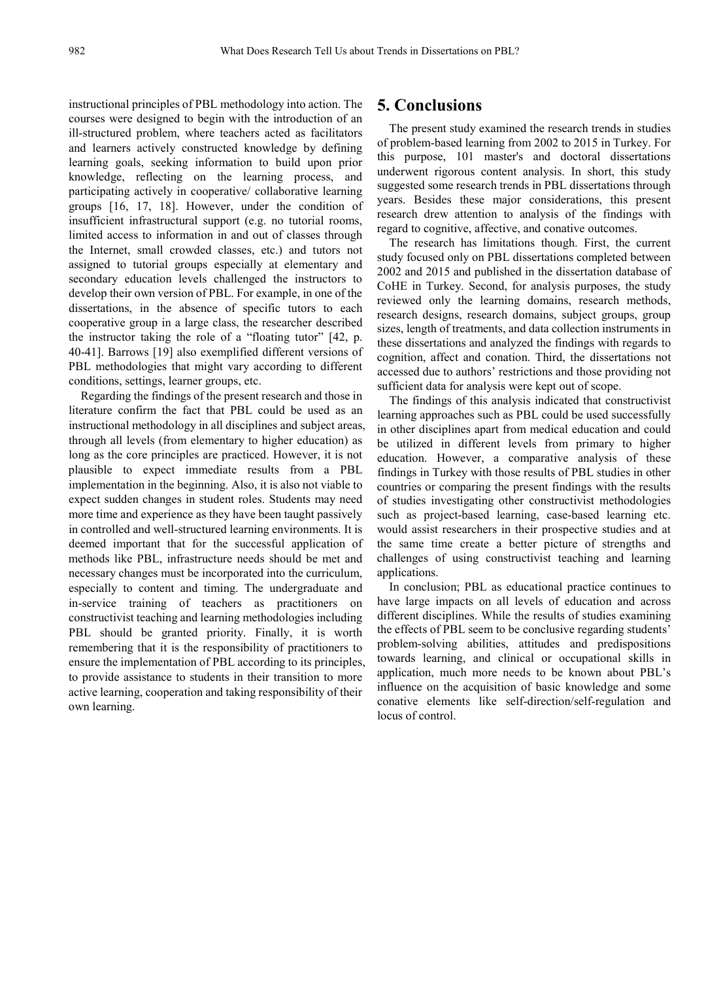instructional principles of PBL methodology into action. The courses were designed to begin with the introduction of an ill-structured problem, where teachers acted as facilitators and learners actively constructed knowledge by defining learning goals, seeking information to build upon prior knowledge, reflecting on the learning process, and participating actively in cooperative/ collaborative learning groups [16, 17, 18]. However, under the condition of insufficient infrastructural support (e.g. no tutorial rooms, limited access to information in and out of classes through the Internet, small crowded classes, etc.) and tutors not assigned to tutorial groups especially at elementary and secondary education levels challenged the instructors to develop their own version of PBL. For example, in one of the dissertations, in the absence of specific tutors to each cooperative group in a large class, the researcher described the instructor taking the role of a "floating tutor" [42, p. 40-41]. Barrows [19] also exemplified different versions of PBL methodologies that might vary according to different conditions, settings, learner groups, etc.

Regarding the findings of the present research and those in literature confirm the fact that PBL could be used as an instructional methodology in all disciplines and subject areas, through all levels (from elementary to higher education) as long as the core principles are practiced. However, it is not plausible to expect immediate results from a PBL implementation in the beginning. Also, it is also not viable to expect sudden changes in student roles. Students may need more time and experience as they have been taught passively in controlled and well-structured learning environments. It is deemed important that for the successful application of methods like PBL, infrastructure needs should be met and necessary changes must be incorporated into the curriculum, especially to content and timing. The undergraduate and in-service training of teachers as practitioners on constructivist teaching and learning methodologies including PBL should be granted priority. Finally, it is worth remembering that it is the responsibility of practitioners to ensure the implementation of PBL according to its principles, to provide assistance to students in their transition to more active learning, cooperation and taking responsibility of their own learning.

## **5. Conclusions**

The present study examined the research trends in studies of problem-based learning from 2002 to 2015 in Turkey. For this purpose, 101 master's and doctoral dissertations underwent rigorous content analysis. In short, this study suggested some research trends in PBL dissertations through years. Besides these major considerations, this present research drew attention to analysis of the findings with regard to cognitive, affective, and conative outcomes.

The research has limitations though. First, the current study focused only on PBL dissertations completed between 2002 and 2015 and published in the dissertation database of CoHE in Turkey. Second, for analysis purposes, the study reviewed only the learning domains, research methods, research designs, research domains, subject groups, group sizes, length of treatments, and data collection instruments in these dissertations and analyzed the findings with regards to cognition, affect and conation. Third, the dissertations not accessed due to authors' restrictions and those providing not sufficient data for analysis were kept out of scope.

The findings of this analysis indicated that constructivist learning approaches such as PBL could be used successfully in other disciplines apart from medical education and could be utilized in different levels from primary to higher education. However, a comparative analysis of these findings in Turkey with those results of PBL studies in other countries or comparing the present findings with the results of studies investigating other constructivist methodologies such as project-based learning, case-based learning etc. would assist researchers in their prospective studies and at the same time create a better picture of strengths and challenges of using constructivist teaching and learning applications.

In conclusion; PBL as educational practice continues to have large impacts on all levels of education and across different disciplines. While the results of studies examining the effects of PBL seem to be conclusive regarding students' problem-solving abilities, attitudes and predispositions towards learning, and clinical or occupational skills in application, much more needs to be known about PBL's influence on the acquisition of basic knowledge and some conative elements like self-direction/self-regulation and locus of control.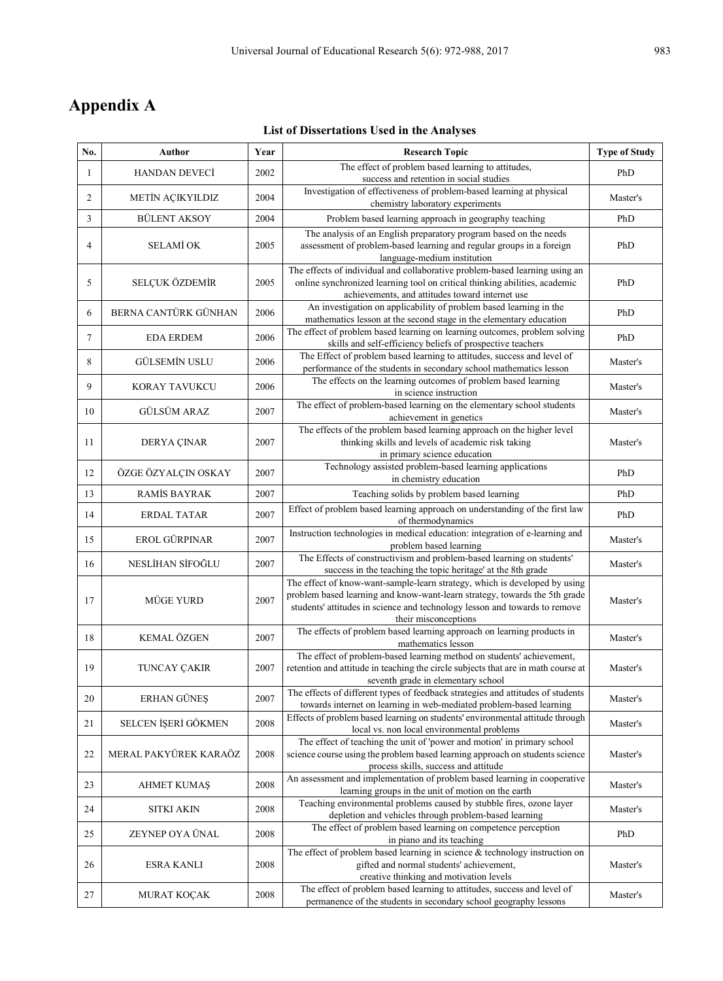## **Appendix A**

## **List of Dissertations Used in the Analyses**

| No.    | Author                  | Year | <b>Research Topic</b>                                                                                                                                                                                                                                          | <b>Type of Study</b> |
|--------|-------------------------|------|----------------------------------------------------------------------------------------------------------------------------------------------------------------------------------------------------------------------------------------------------------------|----------------------|
| 1      | <b>HANDAN DEVECİ</b>    | 2002 | The effect of problem based learning to attitudes,<br>success and retention in social studies                                                                                                                                                                  | PhD                  |
| 2      | <b>METİN AÇIKYILDIZ</b> | 2004 | Investigation of effectiveness of problem-based learning at physical<br>chemistry laboratory experiments                                                                                                                                                       | Master's             |
| 3      | <b>BÜLENT AKSOY</b>     | 2004 | Problem based learning approach in geography teaching                                                                                                                                                                                                          | PhD                  |
| 4      | <b>SELAMİ OK</b>        | 2005 | The analysis of an English preparatory program based on the needs<br>assessment of problem-based learning and regular groups in a foreign<br>language-medium institution                                                                                       | PhD                  |
| 5      | SELÇUK ÖZDEMİR          | 2005 | The effects of individual and collaborative problem-based learning using an<br>online synchronized learning tool on critical thinking abilities, academic<br>achievements, and attitudes toward internet use                                                   | PhD                  |
| 6      | BERNA CANTÜRK GÜNHAN    | 2006 | An investigation on applicability of problem based learning in the<br>mathematics lesson at the second stage in the elementary education                                                                                                                       | PhD                  |
| $\tau$ | <b>EDA ERDEM</b>        | 2006 | The effect of problem based learning on learning outcomes, problem solving<br>skills and self-efficiency beliefs of prospective teachers                                                                                                                       | PhD                  |
| 8      | <b>GÜLSEMİN USLU</b>    | 2006 | The Effect of problem based learning to attitudes, success and level of<br>performance of the students in secondary school mathematics lesson                                                                                                                  | Master's             |
| 9      | <b>KORAY TAVUKCU</b>    | 2006 | The effects on the learning outcomes of problem based learning<br>in science instruction                                                                                                                                                                       | Master's             |
| 10     | <b>GÜLSÜM ARAZ</b>      | 2007 | The effect of problem-based learning on the elementary school students<br>achievement in genetics                                                                                                                                                              | Master's             |
| 11     | DERYA ÇINAR             | 2007 | The effects of the problem based learning approach on the higher level<br>thinking skills and levels of academic risk taking<br>in primary science education                                                                                                   | Master's             |
| 12     | ÖZGE ÖZYALÇIN OSKAY     | 2007 | Technology assisted problem-based learning applications<br>in chemistry education                                                                                                                                                                              | PhD                  |
| 13     | RAMÍS BAYRAK            | 2007 | Teaching solids by problem based learning                                                                                                                                                                                                                      | PhD                  |
| 14     | <b>ERDAL TATAR</b>      | 2007 | Effect of problem based learning approach on understanding of the first law<br>of thermodynamics                                                                                                                                                               | PhD                  |
| 15     | EROL GÜRPINAR           | 2007 | Instruction technologies in medical education: integration of e-learning and<br>problem based learning                                                                                                                                                         | Master's             |
| 16     | NESLİHAN SİFOĞLU        | 2007 | The Effects of constructivism and problem-based learning on students'<br>success in the teaching the topic heritage' at the 8th grade                                                                                                                          | Master's             |
| 17     | <b>MUGE YURD</b>        | 2007 | The effect of know-want-sample-learn strategy, which is developed by using<br>problem based learning and know-want-learn strategy, towards the 5th grade<br>students' attitudes in science and technology lesson and towards to remove<br>their misconceptions | Master's             |
| 18     | <b>KEMAL ÖZGEN</b>      | 2007 | The effects of problem based learning approach on learning products in<br>mathematics lesson                                                                                                                                                                   | Master's             |
| 19     | <b>TUNCAY ÇAKIR</b>     | 2007 | The effect of problem-based learning method on students' achievement,<br>retention and attitude in teaching the circle subjects that are in math course at<br>seventh grade in elementary school                                                               | Master's             |
| 20     | ERHAN GÜNEŞ             | 2007 | The effects of different types of feedback strategies and attitudes of students<br>towards internet on learning in web-mediated problem-based learning                                                                                                         | Master's             |
| 21     | SELCEN İŞERİ GÖKMEN     | 2008 | Effects of problem based learning on students' environmental attitude through<br>local vs. non local environmental problems                                                                                                                                    | Master's             |
| 22     | MERAL PAKYÜREK KARAÖZ   | 2008 | The effect of teaching the unit of 'power and motion' in primary school<br>science course using the problem based learning approach on students science<br>process skills, success and attitude                                                                | Master's             |
| 23     | <b>AHMET KUMAŞ</b>      | 2008 | An assessment and implementation of problem based learning in cooperative<br>learning groups in the unit of motion on the earth                                                                                                                                | Master's             |
| 24     | <b>SITKI AKIN</b>       | 2008 | Teaching environmental problems caused by stubble fires, ozone layer<br>depletion and vehicles through problem-based learning                                                                                                                                  | Master's             |
| 25     | ZEYNEP OYA ÜNAL         | 2008 | The effect of problem based learning on competence perception<br>in piano and its teaching                                                                                                                                                                     | PhD                  |
| 26     | ESRA KANLI              | 2008 | The effect of problem based learning in science $\&$ technology instruction on<br>gifted and normal students' achievement,<br>creative thinking and motivation levels                                                                                          | Master's             |
| 27     | MURAT KOÇAK             | 2008 | The effect of problem based learning to attitudes, success and level of<br>permanence of the students in secondary school geography lessons                                                                                                                    | Master's             |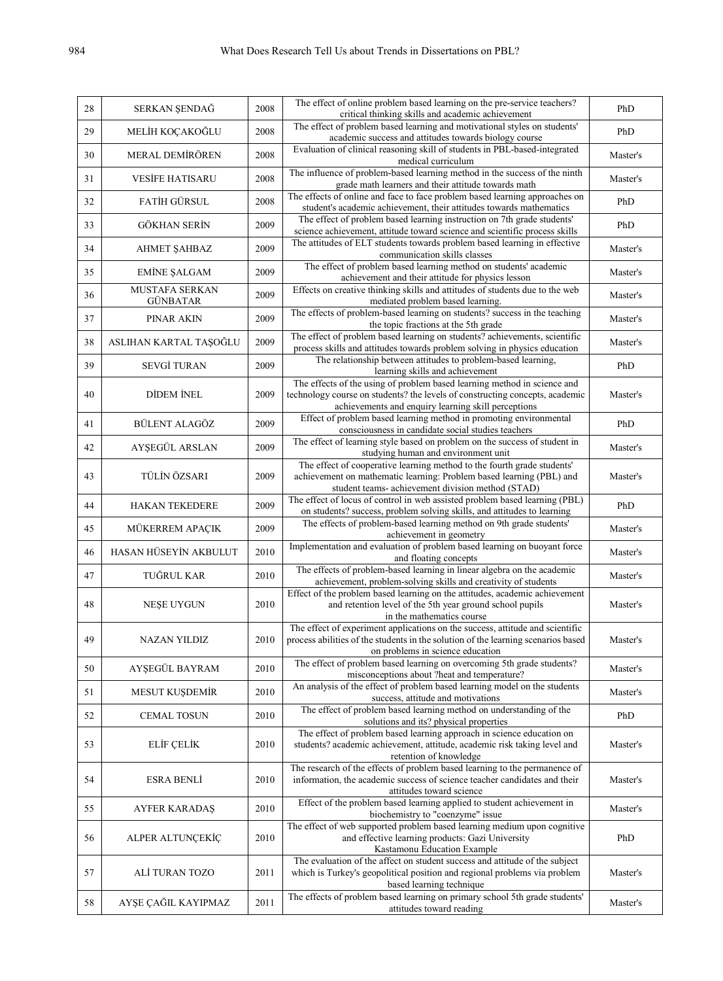| 28 | SERKAN ŞENDAĞ                         | 2008 | The effect of online problem based learning on the pre-service teachers?<br>critical thinking skills and academic achievement                                                        | PhD      |
|----|---------------------------------------|------|--------------------------------------------------------------------------------------------------------------------------------------------------------------------------------------|----------|
| 29 | MELİH KOÇAKOĞLU                       | 2008 | The effect of problem based learning and motivational styles on students'<br>academic success and attitudes towards biology course                                                   | PhD      |
| 30 | MERAL DEMİRÖREN                       | 2008 | Evaluation of clinical reasoning skill of students in PBL-based-integrated<br>medical curriculum                                                                                     | Master's |
| 31 | <b>VESIFE HATISARU</b>                | 2008 | The influence of problem-based learning method in the success of the ninth<br>grade math learners and their attitude towards math                                                    | Master's |
| 32 | FATİH GÜRSUL                          | 2008 | The effects of online and face to face problem based learning approaches on                                                                                                          | PhD      |
| 33 | <b>GÖKHAN SERİN</b>                   | 2009 | student's academic achievement, their attitudes towards mathematics<br>The effect of problem based learning instruction on 7th grade students'                                       | PhD      |
| 34 | <b>AHMET SAHBAZ</b>                   | 2009 | science achievement, attitude toward science and scientific process skills<br>The attitudes of ELT students towards problem based learning in effective                              | Master's |
|    |                                       |      | communication skills classes<br>The effect of problem based learning method on students' academic                                                                                    |          |
| 35 | <b>EMINE SALGAM</b><br>MUSTAFA SERKAN | 2009 | achievement and their attitude for physics lesson<br>Effects on creative thinking skills and attitudes of students due to the web                                                    | Master's |
| 36 | <b>GÜNBATAR</b>                       | 2009 | mediated problem based learning.                                                                                                                                                     | Master's |
| 37 | PINAR AKIN                            | 2009 | The effects of problem-based learning on students? success in the teaching<br>the topic fractions at the 5th grade                                                                   | Master's |
| 38 | ASLIHAN KARTAL TAŞOĞLU                | 2009 | The effect of problem based learning on students? achievements, scientific<br>process skills and attitudes towards problem solving in physics education                              | Master's |
| 39 | <b>SEVGİ TURAN</b>                    | 2009 | The relationship between attitudes to problem-based learning,<br>learning skills and achievement                                                                                     | PhD      |
| 40 | DIDEM INEL                            | 2009 | The effects of the using of problem based learning method in science and<br>technology course on students? the levels of constructing concepts, academic                             | Master's |
|    |                                       |      | achievements and enquiry learning skill perceptions                                                                                                                                  |          |
| 41 | BÜLENT ALAGÖZ                         | 2009 | Effect of problem based learning method in promoting environmental<br>consciousness in candidate social studies teachers                                                             | PhD      |
| 42 | AYŞEGÜL ARSLAN                        | 2009 | The effect of learning style based on problem on the success of student in<br>studying human and environment unit                                                                    | Master's |
| 43 | TÜLİN ÖZSARI                          | 2009 | The effect of cooperative learning method to the fourth grade students'<br>achievement on mathematic learning: Problem based learning (PBL) and                                      | Master's |
|    |                                       |      | student teams- achievement division method (STAD)<br>The effect of locus of control in web assisted problem based learning (PBL)                                                     |          |
| 44 | <b>HAKAN TEKEDERE</b>                 | 2009 | on students? success, problem solving skills, and attitudes to learning<br>The effects of problem-based learning method on 9th grade students'                                       | PhD      |
| 45 | MÜKERREM APAÇIK                       | 2009 | achievement in geometry                                                                                                                                                              | Master's |
| 46 | HASAN HÜSEYİN AKBULUT                 | 2010 | Implementation and evaluation of problem based learning on buoyant force<br>and floating concepts                                                                                    | Master's |
| 47 | TUĞRUL KAR                            | 2010 | The effects of problem-based learning in linear algebra on the academic<br>achievement, problem-solving skills and creativity of students                                            | Master's |
| 48 | NESE UYGUN                            | 2010 | Effect of the problem based learning on the attitudes, academic achievement<br>and retention level of the 5th year ground school pupils                                              | Master's |
|    |                                       |      | in the mathematics course                                                                                                                                                            |          |
| 49 | NAZAN YILDIZ                          | 2010 | The effect of experiment applications on the success, attitude and scientific<br>process abilities of the students in the solution of the learning scenarios based                   | Master's |
|    |                                       |      | on problems in science education<br>The effect of problem based learning on overcoming 5th grade students?                                                                           |          |
| 50 | AYŞEGÜL BAYRAM                        | 2010 | misconceptions about ?heat and temperature?<br>An analysis of the effect of problem based learning model on the students                                                             | Master's |
| 51 | MESUT KUŞDEMİR                        | 2010 | success, attitude and motivations                                                                                                                                                    | Master's |
| 52 | <b>CEMAL TOSUN</b>                    | 2010 | The effect of problem based learning method on understanding of the<br>solutions and its? physical properties                                                                        | PhD      |
| 53 | ELİF ÇELİK                            | 2010 | The effect of problem based learning approach in science education on<br>students? academic achievement, attitude, academic risk taking level and<br>retention of knowledge          | Master's |
| 54 | <b>ESRA BENLI</b>                     | 2010 | The research of the effects of problem based learning to the permanence of<br>information, the academic success of science teacher candidates and their<br>attitudes toward science  | Master's |
| 55 | <b>AYFER KARADAŞ</b>                  | 2010 | Effect of the problem based learning applied to student achievement in<br>biochemistry to "coenzyme" issue                                                                           | Master's |
| 56 | ALPER ALTUNÇEKİÇ                      | 2010 | The effect of web supported problem based learning medium upon cognitive<br>and effective learning products: Gazi University                                                         | PhD      |
|    |                                       |      | Kastamonu Education Example                                                                                                                                                          |          |
| 57 | ALİ TURAN TOZO                        | 2011 | The evaluation of the affect on student success and attitude of the subject<br>which is Turkey's geopolitical position and regional problems via problem<br>based learning technique | Master's |
| 58 | AYŞE ÇAĞIL KAYIPMAZ                   | 2011 | The effects of problem based learning on primary school 5th grade students'<br>attitudes toward reading                                                                              | Master's |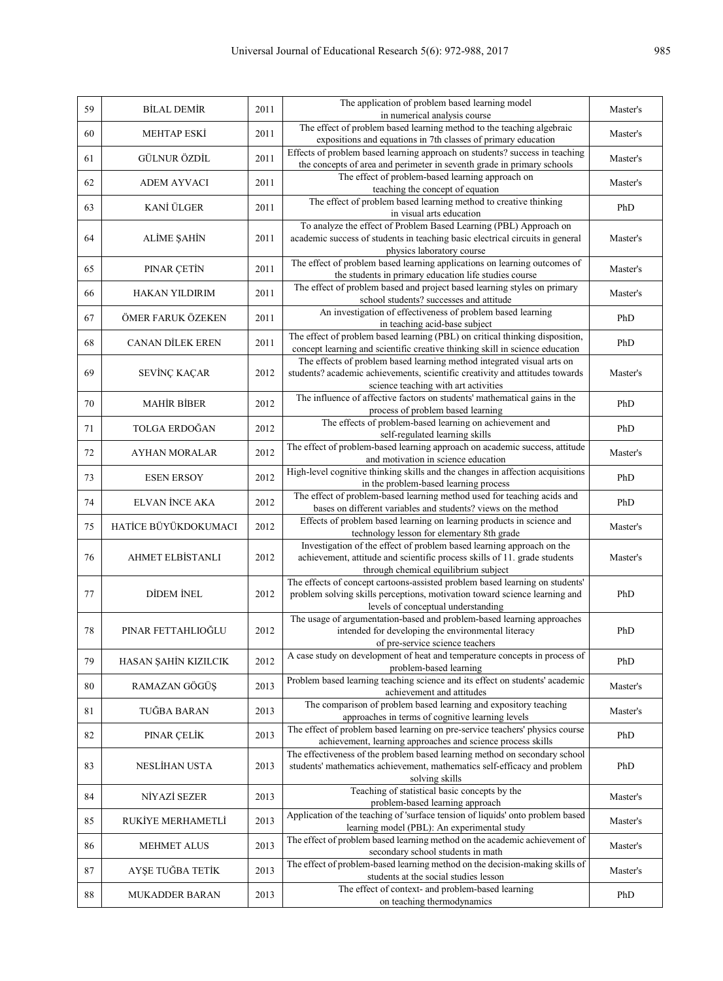| 59 | <b>BİLAL DEMİR</b>      | 2011 | The application of problem based learning model<br>in numerical analysis course                                                                                                                  | Master's |
|----|-------------------------|------|--------------------------------------------------------------------------------------------------------------------------------------------------------------------------------------------------|----------|
| 60 | <b>MEHTAP ESKI</b>      | 2011 | The effect of problem based learning method to the teaching algebraic<br>expositions and equations in 7th classes of primary education                                                           | Master's |
| 61 | GÜLNUR ÖZDİL            | 2011 | Effects of problem based learning approach on students? success in teaching<br>the concepts of area and perimeter in seventh grade in primary schools                                            | Master's |
| 62 | <b>ADEM AYVACI</b>      | 2011 | The effect of problem-based learning approach on<br>teaching the concept of equation                                                                                                             | Master's |
| 63 | KANİ ÜLGER              | 2011 | The effect of problem based learning method to creative thinking<br>in visual arts education                                                                                                     | PhD      |
| 64 | ALİME ŞAHİN             | 2011 | To analyze the effect of Problem Based Learning (PBL) Approach on<br>academic success of students in teaching basic electrical circuits in general<br>physics laboratory course                  | Master's |
| 65 | PINAR ÇETİN             | 2011 | The effect of problem based learning applications on learning outcomes of<br>the students in primary education life studies course                                                               | Master's |
| 66 | HAKAN YILDIRIM          | 2011 | The effect of problem based and project based learning styles on primary<br>school students? successes and attitude                                                                              | Master's |
| 67 | ÖMER FARUK ÖZEKEN       | 2011 | An investigation of effectiveness of problem based learning<br>in teaching acid-base subject                                                                                                     | PhD      |
| 68 | <b>CANAN DİLEK EREN</b> | 2011 | The effect of problem based learning (PBL) on critical thinking disposition,<br>concept learning and scientific creative thinking skill in science education                                     | PhD      |
| 69 | SEVINÇ KAÇAR            | 2012 | The effects of problem based learning method integrated visual arts on<br>students? academic achievements, scientific creativity and attitudes towards<br>science teaching with art activities   | Master's |
| 70 | <b>MAHİR BİBER</b>      | 2012 | The influence of affective factors on students' mathematical gains in the<br>process of problem based learning                                                                                   | PhD      |
| 71 | TOLGA ERDOĞAN           | 2012 | The effects of problem-based learning on achievement and<br>self-regulated learning skills                                                                                                       | PhD      |
| 72 | <b>AYHAN MORALAR</b>    | 2012 | The effect of problem-based learning approach on academic success, attitude<br>and motivation in science education                                                                               | Master's |
| 73 | <b>ESEN ERSOY</b>       | 2012 | High-level cognitive thinking skills and the changes in affection acquisitions<br>in the problem-based learning process                                                                          | PhD      |
| 74 | <b>ELVAN İNCE AKA</b>   | 2012 | The effect of problem-based learning method used for teaching acids and<br>bases on different variables and students? views on the method                                                        | PhD      |
| 75 | HATİCE BÜYÜKDOKUMACI    | 2012 | Effects of problem based learning on learning products in science and<br>technology lesson for elementary 8th grade                                                                              | Master's |
| 76 | AHMET ELBİSTANLI        | 2012 | Investigation of the effect of problem based learning approach on the<br>achievement, attitude and scientific process skills of 11. grade students<br>through chemical equilibrium subject       | Master's |
| 77 | <b>DİDEM İNEL</b>       | 2012 | The effects of concept cartoons-assisted problem based learning on students'<br>problem solving skills perceptions, motivation toward science learning and<br>levels of conceptual understanding | PhD      |
| 78 | PINAR FETTAHLIOĞLU      | 2012 | The usage of argumentation-based and problem-based learning approaches<br>intended for developing the environmental literacy<br>of pre-service science teachers                                  | PhD      |
| 79 | HASAN ŞAHİN KIZILCIK    | 2012 | A case study on development of heat and temperature concepts in process of<br>problem-based learning                                                                                             | PhD      |
| 80 | RAMAZAN GÖGÜŞ           | 2013 | Problem based learning teaching science and its effect on students' academic<br>achievement and attitudes                                                                                        | Master's |
| 81 | TUĞBA BARAN             | 2013 | The comparison of problem based learning and expository teaching<br>approaches in terms of cognitive learning levels                                                                             | Master's |
| 82 | PINAR ÇELİK             | 2013 | The effect of problem based learning on pre-service teachers' physics course<br>achievement, learning approaches and science process skills                                                      | PhD      |
| 83 | NESLİHAN USTA           | 2013 | The effectiveness of the problem based learning method on secondary school<br>students' mathematics achievement, mathematics self-efficacy and problem<br>solving skills                         | PhD      |
| 84 | NİYAZİ SEZER            | 2013 | Teaching of statistical basic concepts by the<br>problem-based learning approach                                                                                                                 | Master's |
| 85 | RUKİYE MERHAMETLİ       | 2013 | Application of the teaching of 'surface tension of liquids' onto problem based<br>learning model (PBL): An experimental study                                                                    | Master's |
| 86 | <b>MEHMET ALUS</b>      | 2013 | The effect of problem based learning method on the academic achievement of<br>secondary school students in math                                                                                  | Master's |
| 87 | AYŞE TUĞBA TETİK        | 2013 | The effect of problem-based learning method on the decision-making skills of<br>students at the social studies lesson                                                                            | Master's |
| 88 | <b>MUKADDER BARAN</b>   | 2013 | The effect of context- and problem-based learning<br>on teaching thermodynamics                                                                                                                  | PhD      |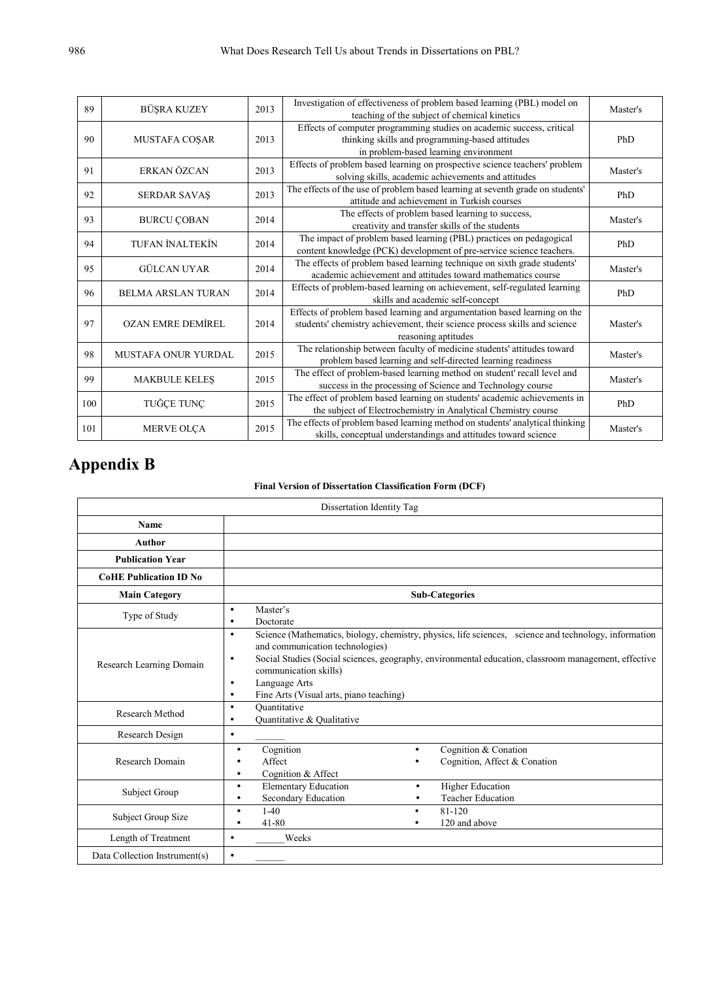| 89  | BÜŞRA KUZEY                | 2013                | Investigation of effectiveness of problem based learning (PBL) model on        | Master's |  |
|-----|----------------------------|---------------------|--------------------------------------------------------------------------------|----------|--|
|     |                            |                     | teaching of the subject of chemical kinetics                                   |          |  |
|     |                            |                     | Effects of computer programming studies on academic success, critical          |          |  |
| 90  | <b>MUSTAFA COSAR</b>       | 2013                | thinking skills and programming-based attitudes                                | PhD      |  |
|     |                            |                     | in problem-based learning environment                                          |          |  |
| 91  | ERKAN ÖZCAN                | 2013                | Effects of problem based learning on prospective science teachers' problem     | Master's |  |
|     |                            |                     | solving skills, academic achievements and attitudes                            |          |  |
| 92  | <b>SERDAR SAVAŞ</b>        | 2013                | The effects of the use of problem based learning at seventh grade on students' | PhD      |  |
|     |                            |                     | attitude and achievement in Turkish courses                                    |          |  |
| 93  |                            | 2014                | The effects of problem based learning to success,                              | Master's |  |
|     | <b>BURCU ÇOBAN</b>         |                     | creativity and transfer skills of the students                                 |          |  |
|     | <b>TUFAN İNALTEKİN</b>     |                     | The impact of problem based learning (PBL) practices on pedagogical            |          |  |
| 94  |                            | 2014                | content knowledge (PCK) development of pre-service science teachers.           | PhD      |  |
|     |                            |                     | The effects of problem based learning technique on sixth grade students'       |          |  |
|     | 95<br><b>GÜLCAN UYAR</b>   | 2014                | academic achievement and attitudes toward mathematics course                   | Master's |  |
|     |                            |                     | Effects of problem-based learning on achievement, self-regulated learning      |          |  |
| 96  | <b>BELMA ARSLAN TURAN</b>  | 2014                | skills and academic self-concept                                               | PhD      |  |
|     |                            |                     | Effects of problem based learning and argumentation based learning on the      |          |  |
| 97  | <b>OZAN EMRE DEMİREL</b>   | 2014                | students' chemistry achievement, their science process skills and science      | Master's |  |
|     |                            | reasoning aptitudes |                                                                                |          |  |
|     |                            |                     | The relationship between faculty of medicine students' attitudes toward        |          |  |
| 98  | <b>MUSTAFA ONUR YURDAL</b> | 2015                | problem based learning and self-directed learning readiness                    | Master's |  |
|     |                            |                     | The effect of problem-based learning method on student' recall level and       |          |  |
| 99  | <b>MAKBULE KELES</b>       | 2015                | success in the processing of Science and Technology course                     | Master's |  |
|     |                            |                     | The effect of problem based learning on students' academic achievements in     |          |  |
| 100 | TUĞÇE TUNÇ                 | 2015                |                                                                                | PhD      |  |
|     |                            |                     | the subject of Electrochemistry in Analytical Chemistry course                 |          |  |
| 101 | <b>MERVE OLÇA</b>          | 2015                | The effects of problem based learning method on students' analytical thinking  | Master's |  |
|     |                            |                     | skills, conceptual understandings and attitudes toward science                 |          |  |

## **Appendix B**

#### **Final Version of Dissertation Classification Form (DCF)**

| Dissertation Identity Tag     |                                                                                                                                                                                                                                                                                                                                                                                           |
|-------------------------------|-------------------------------------------------------------------------------------------------------------------------------------------------------------------------------------------------------------------------------------------------------------------------------------------------------------------------------------------------------------------------------------------|
| <b>Name</b>                   |                                                                                                                                                                                                                                                                                                                                                                                           |
| Author                        |                                                                                                                                                                                                                                                                                                                                                                                           |
| <b>Publication Year</b>       |                                                                                                                                                                                                                                                                                                                                                                                           |
| <b>CoHE Publication ID No</b> |                                                                                                                                                                                                                                                                                                                                                                                           |
| <b>Main Category</b>          | <b>Sub-Categories</b>                                                                                                                                                                                                                                                                                                                                                                     |
| Type of Study                 | Master's<br>$\bullet$<br>Doctorate<br>$\bullet$                                                                                                                                                                                                                                                                                                                                           |
| Research Learning Domain      | Science (Mathematics, biology, chemistry, physics, life sciences, science and technology, information<br>$\bullet$<br>and communication technologies)<br>Social Studies (Social sciences, geography, environmental education, classroom management, effective<br>$\bullet$<br>communication skills)<br>Language Arts<br>$\bullet$<br>Fine Arts (Visual arts, piano teaching)<br>$\bullet$ |
| Research Method               | Ouantitative<br>$\bullet$<br>Quantitative & Qualitative<br>$\bullet$                                                                                                                                                                                                                                                                                                                      |
| Research Design               | $\bullet$                                                                                                                                                                                                                                                                                                                                                                                 |
| Research Domain               | Cognition & Conation<br>Cognition<br>$\bullet$<br>٠<br>Affect<br>Cognition, Affect & Conation<br>Cognition & Affect<br>٠                                                                                                                                                                                                                                                                  |
| Subject Group                 | <b>Higher Education</b><br><b>Elementary Education</b><br>$\bullet$<br>٠<br>Secondary Education<br><b>Teacher Education</b><br>٠                                                                                                                                                                                                                                                          |
| Subject Group Size            | $1-40$<br>81-120<br>$\bullet$<br>$\bullet$<br>$41 - 80$<br>120 and above<br>٠<br>٠                                                                                                                                                                                                                                                                                                        |
| Length of Treatment           | Weeks<br>$\bullet$                                                                                                                                                                                                                                                                                                                                                                        |
| Data Collection Instrument(s) | $\bullet$                                                                                                                                                                                                                                                                                                                                                                                 |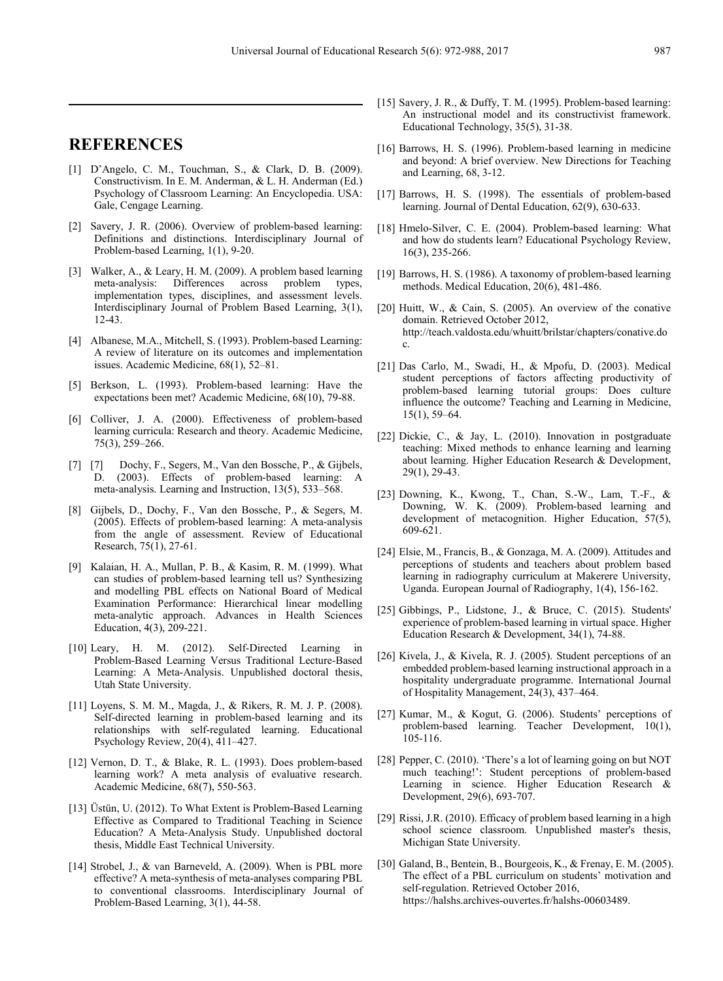## **REFERENCES**

- [1] D'Angelo, C. M., Touchman, S., & Clark, D. B. (2009). Constructivism. In E. M. Anderman, & L. H. Anderman (Ed.) Psychology of Classroom Learning: An Encyclopedia. USA: Gale, Cengage Learning.
- [2] Savery, J. R. (2006). Overview of problem-based learning: Definitions and distinctions. Interdisciplinary Journal of Problem-based Learning, 1(1), 9-20.
- [3] Walker, A., & Leary, H. M. (2009). A problem based learning meta-analysis: Differences across problem types, implementation types, disciplines, and assessment levels. Interdisciplinary Journal of Problem Based Learning, 3(1), 12-43.
- [4] Albanese, M.A., Mitchell, S. (1993). Problem-based Learning: A review of literature on its outcomes and implementation issues. Academic Medicine, 68(1), 52–81.
- [5] Berkson, L. (1993). Problem-based learning: Have the expectations been met? Academic Medicine, 68(10), 79-88.
- [6] Colliver, J. A. (2000). Effectiveness of problem-based learning curricula: Research and theory. Academic Medicine, 75(3), 259–266.
- [7] [7] Dochy, F., Segers, M., Van den Bossche, P., & Gijbels, D. (2003). Effects of problem-based learning: meta-analysis. Learning and Instruction, 13(5), 533–568.
- [8] Gijbels, D., Dochy, F., Van den Bossche, P., & Segers, M. (2005). Effects of problem-based learning: A meta-analysis from the angle of assessment. Review of Educational Research, 75(1), 27-61.
- [9] Kalaian, H. A., Mullan, P. B., & Kasim, R. M. (1999). What can studies of problem-based learning tell us? Synthesizing and modelling PBL effects on National Board of Medical Examination Performance: Hierarchical linear modelling meta-analytic approach. Advances in Health Sciences Education, 4(3), 209-221.
- [10] Leary, H. M. (2012). Self-Directed Learning in Problem-Based Learning Versus Traditional Lecture-Based Learning: A Meta-Analysis. Unpublished doctoral thesis, Utah State University.
- [11] Loyens, S. M. M., Magda, J., & Rikers, R. M. J. P. (2008). Self-directed learning in problem-based learning and its relationships with self-regulated learning. Educational Psychology Review, 20(4), 411–427.
- [12] Vernon, D. T., & Blake, R. L. (1993). Does problem-based learning work? A meta analysis of evaluative research. Academic Medicine, 68(7), 550-563.
- [13] Üstün, U. (2012). To What Extent is Problem-Based Learning Effective as Compared to Traditional Teaching in Science Education? A Meta-Analysis Study. Unpublished doctoral thesis, Middle East Technical University.
- [14] Strobel, J., & van Barneveld, A. (2009). When is PBL more effective? A meta-synthesis of meta-analyses comparing PBL to conventional classrooms. Interdisciplinary Journal of Problem-Based Learning, 3(1), 44-58.
- [15] Savery, J. R., & Duffy, T. M. (1995). Problem-based learning: An instructional model and its constructivist framework. Educational Technology, 35(5), 31-38.
- [16] Barrows, H. S. (1996). Problem-based learning in medicine and beyond: A brief overview. New Directions for Teaching and Learning, 68, 3-12.
- [17] Barrows, H. S. (1998). The essentials of problem-based learning. Journal of Dental Education, 62(9), 630-633.
- [18] Hmelo-Silver, C. E. (2004). Problem-based learning: What and how do students learn? Educational Psychology Review, 16(3), 235-266.
- [19] Barrows, H. S. (1986). A taxonomy of problem-based learning methods. Medical Education, 20(6), 481-486.
- [20] Huitt, W., & Cain, S. (2005). An overview of the conative domain. Retrieved October 2012, http://teach.valdosta.edu/whuitt/brilstar/chapters/conative.do c.
- [21] Das Carlo, M., Swadi, H., & Mpofu, D. (2003). Medical student perceptions of factors affecting productivity of problem-based learning tutorial groups: Does culture influence the outcome? Teaching and Learning in Medicine, 15(1), 59–64.
- [22] Dickie, C., & Jay, L. (2010). Innovation in postgraduate teaching: Mixed methods to enhance learning and learning about learning. Higher Education Research & Development, 29(1), 29-43.
- [23] Downing, K., Kwong, T., Chan, S.-W., Lam, T.-F., & Downing, W. K. (2009). Problem-based learning and development of metacognition. Higher Education, 57(5),  $609 - 621$ .
- [24] Elsie, M., Francis, B., & Gonzaga, M. A. (2009). Attitudes and perceptions of students and teachers about problem based learning in radiography curriculum at Makerere University, Uganda. European Journal of Radiography, 1(4), 156-162.
- [25] Gibbings, P., Lidstone, J., & Bruce, C. (2015). Students' experience of problem-based learning in virtual space. Higher Education Research & Development, 34(1), 74-88.
- [26] Kivela, J., & Kivela, R. J. (2005). Student perceptions of an embedded problem-based learning instructional approach in a hospitality undergraduate programme. International Journal of Hospitality Management, 24(3), 437–464.
- [27] Kumar, M., & Kogut, G. (2006). Students' perceptions of problem-based learning. Teacher Development, 10(1), 105-116.
- [28] Pepper, C. (2010). 'There's a lot of learning going on but NOT much teaching!': Student perceptions of problem-based Learning in science. Higher Education Research & Development, 29(6), 693-707.
- [29] Rissi, J.R. (2010). Efficacy of problem based learning in a high school science classroom. Unpublished master's thesis, Michigan State University.
- [30] Galand, B., Bentein, B., Bourgeois, K., & Frenay, E. M. (2005). The effect of a PBL curriculum on students' motivation and self-regulation. Retrieved October 2016, https://halshs.archives-ouvertes.fr/halshs-00603489.